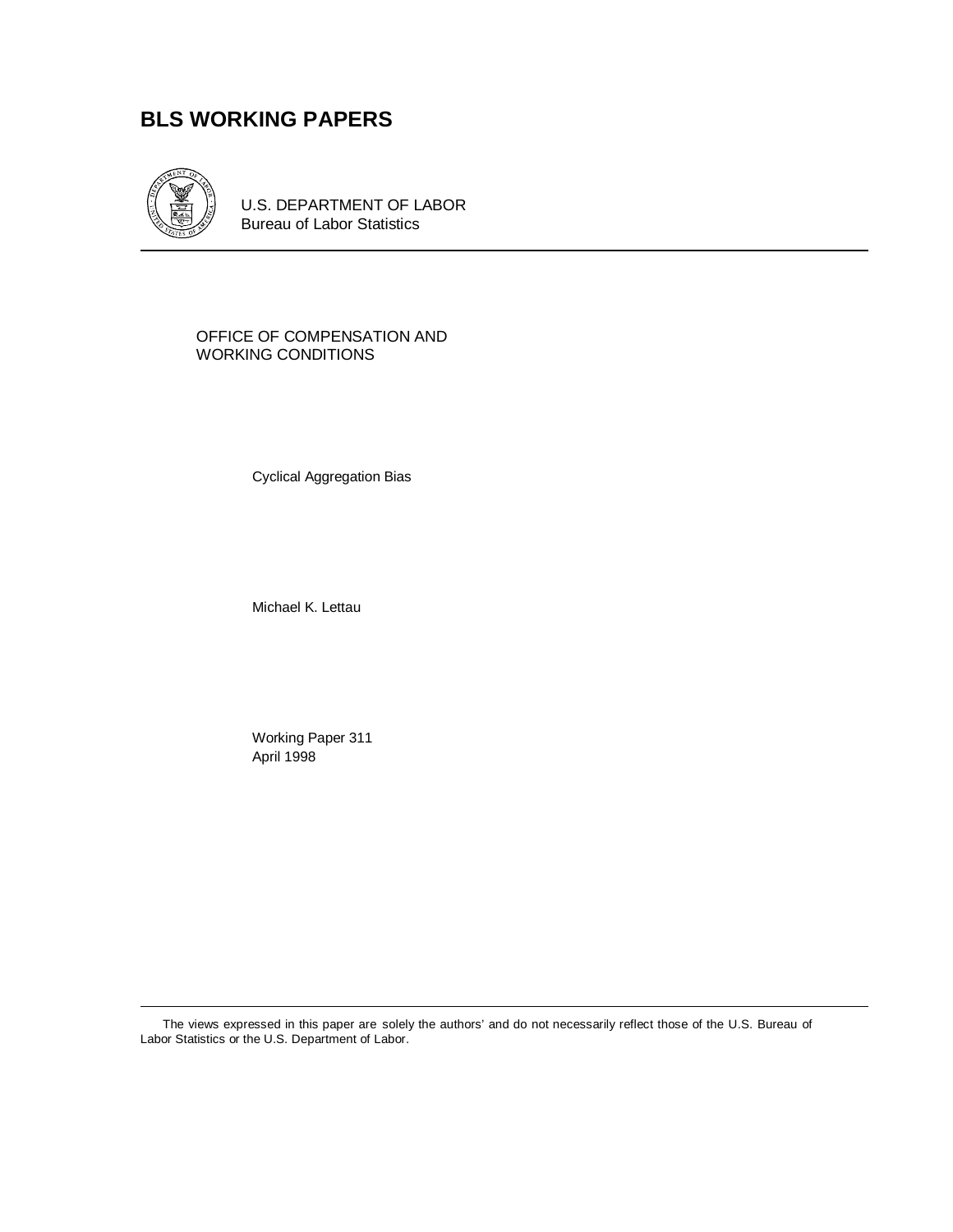# **BLS WORKING PAPERS**



U.S. DEPARTMENT OF LABOR Bureau of Labor Statistics

OFFICE OF COMPENSATION AND WORKING CONDITIONS

Cyclical Aggregation Bias

Michael K. Lettau

Working Paper 311 April 1998

The views expressed in this paper are solely the authors' and do not necessarily reflect those of the U.S. Bureau of Labor Statistics or the U.S. Department of Labor.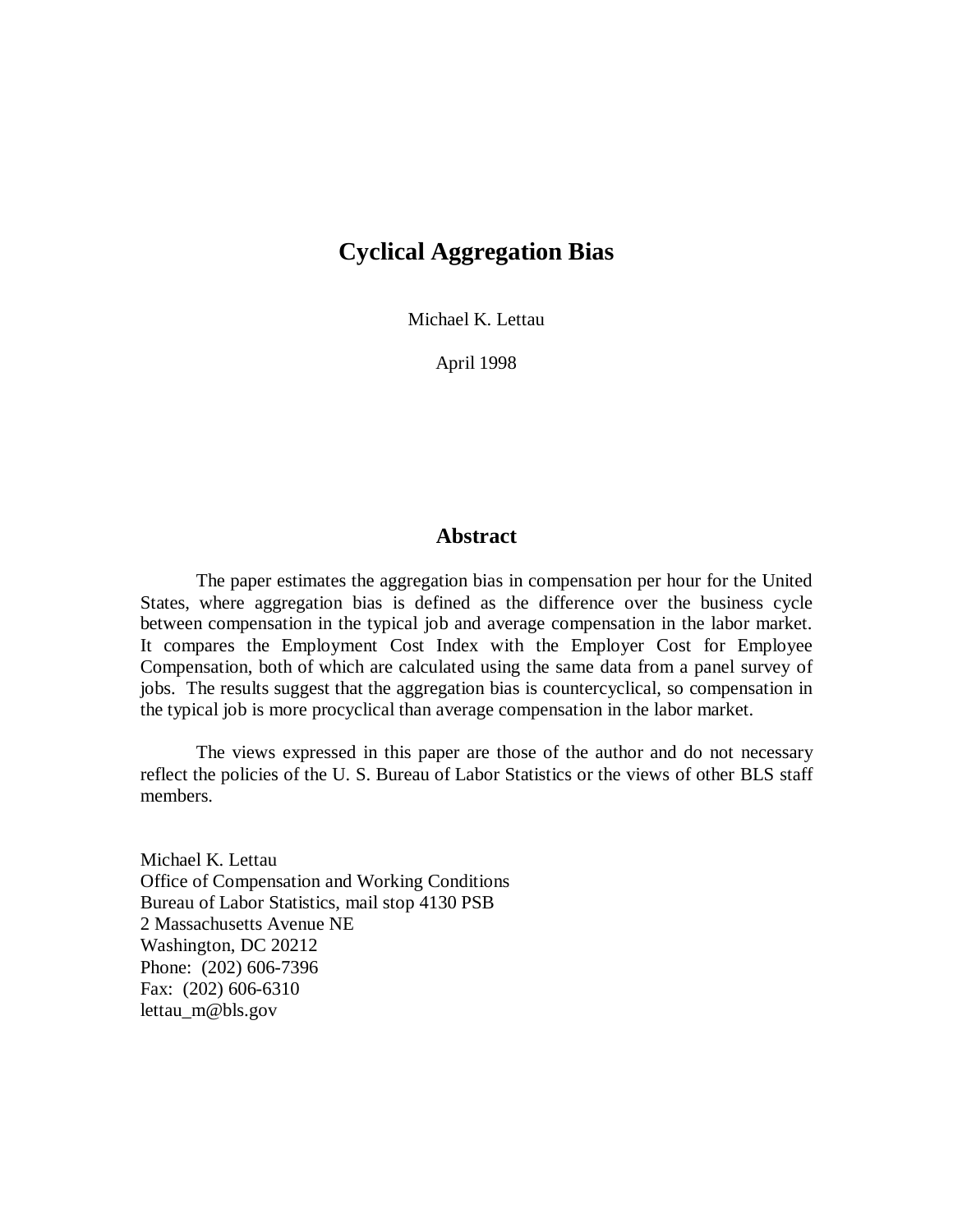# **Cyclical Aggregation Bias**

Michael K. Lettau

April 1998

# **Abstract**

The paper estimates the aggregation bias in compensation per hour for the United States, where aggregation bias is defined as the difference over the business cycle between compensation in the typical job and average compensation in the labor market. It compares the Employment Cost Index with the Employer Cost for Employee Compensation, both of which are calculated using the same data from a panel survey of jobs. The results suggest that the aggregation bias is countercyclical, so compensation in the typical job is more procyclical than average compensation in the labor market.

The views expressed in this paper are those of the author and do not necessary reflect the policies of the U. S. Bureau of Labor Statistics or the views of other BLS staff members.

Michael K. Lettau Office of Compensation and Working Conditions Bureau of Labor Statistics, mail stop 4130 PSB 2 Massachusetts Avenue NE Washington, DC 20212 Phone: (202) 606-7396 Fax: (202) 606-6310 lettau\_m@bls.gov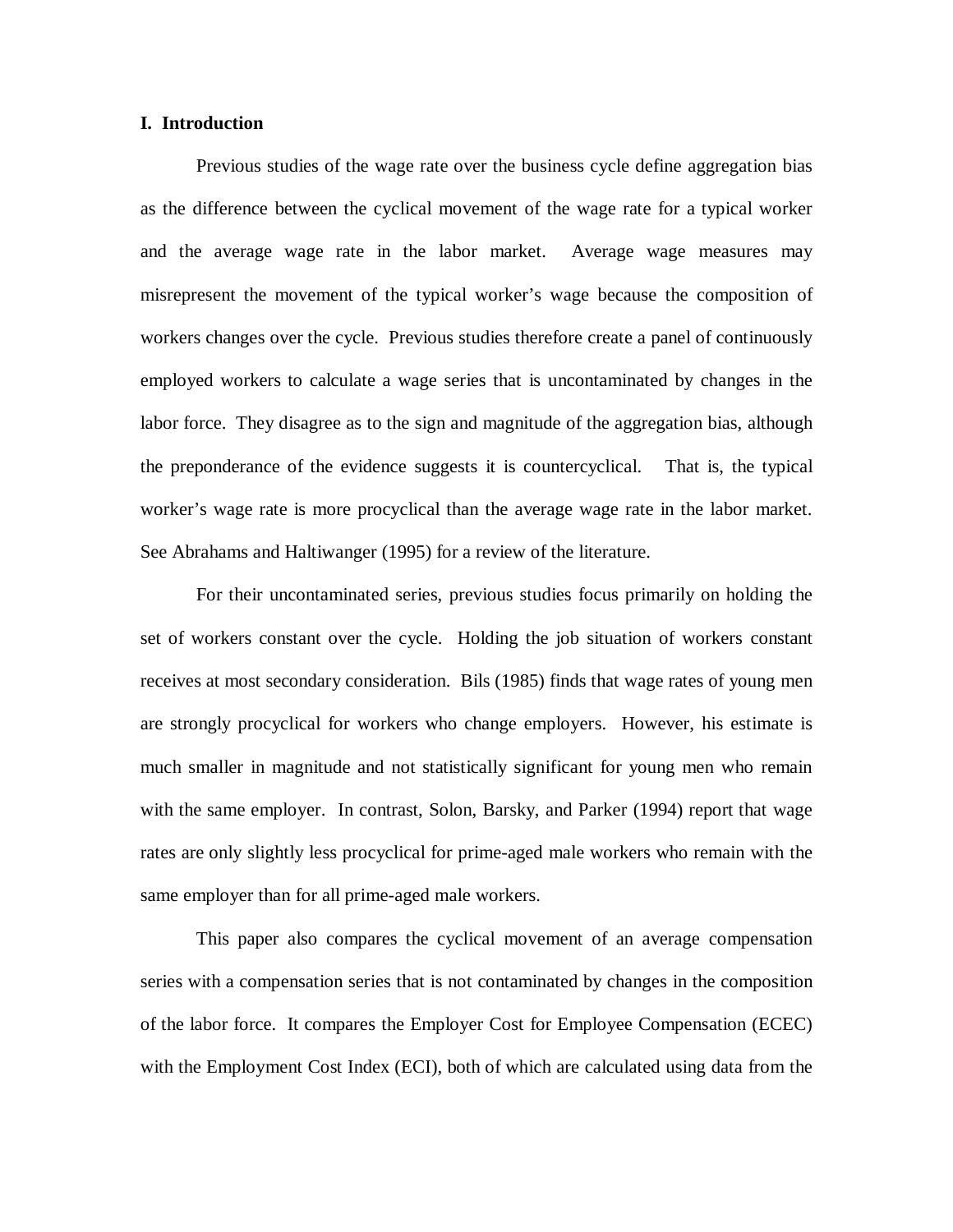### **I. Introduction**

Previous studies of the wage rate over the business cycle define aggregation bias as the difference between the cyclical movement of the wage rate for a typical worker and the average wage rate in the labor market. Average wage measures may misrepresent the movement of the typical worker's wage because the composition of workers changes over the cycle. Previous studies therefore create a panel of continuously employed workers to calculate a wage series that is uncontaminated by changes in the labor force. They disagree as to the sign and magnitude of the aggregation bias, although the preponderance of the evidence suggests it is countercyclical. That is, the typical worker's wage rate is more procyclical than the average wage rate in the labor market. See Abrahams and Haltiwanger (1995) for a review of the literature.

For their uncontaminated series, previous studies focus primarily on holding the set of workers constant over the cycle. Holding the job situation of workers constant receives at most secondary consideration. Bils (1985) finds that wage rates of young men are strongly procyclical for workers who change employers. However, his estimate is much smaller in magnitude and not statistically significant for young men who remain with the same employer. In contrast, Solon, Barsky, and Parker (1994) report that wage rates are only slightly less procyclical for prime-aged male workers who remain with the same employer than for all prime-aged male workers.

This paper also compares the cyclical movement of an average compensation series with a compensation series that is not contaminated by changes in the composition of the labor force. It compares the Employer Cost for Employee Compensation (ECEC) with the Employment Cost Index (ECI), both of which are calculated using data from the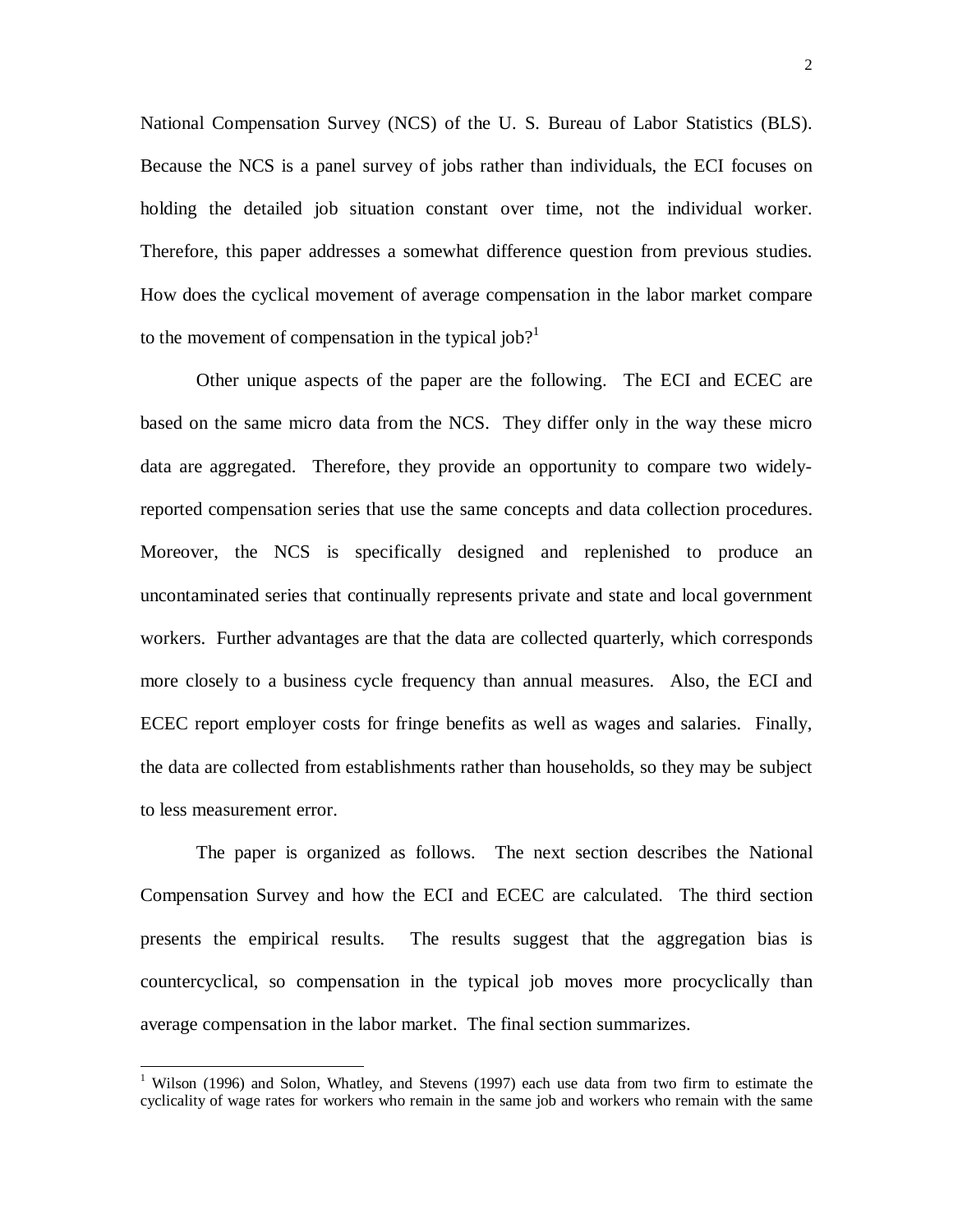National Compensation Survey (NCS) of the U. S. Bureau of Labor Statistics (BLS). Because the NCS is a panel survey of jobs rather than individuals, the ECI focuses on holding the detailed job situation constant over time, not the individual worker. Therefore, this paper addresses a somewhat difference question from previous studies. How does the cyclical movement of average compensation in the labor market compare to the movement of compensation in the typical job?<sup>1</sup>

Other unique aspects of the paper are the following. The ECI and ECEC are based on the same micro data from the NCS. They differ only in the way these micro data are aggregated. Therefore, they provide an opportunity to compare two widelyreported compensation series that use the same concepts and data collection procedures. Moreover, the NCS is specifically designed and replenished to produce an uncontaminated series that continually represents private and state and local government workers. Further advantages are that the data are collected quarterly, which corresponds more closely to a business cycle frequency than annual measures. Also, the ECI and ECEC report employer costs for fringe benefits as well as wages and salaries. Finally, the data are collected from establishments rather than households, so they may be subject to less measurement error.

The paper is organized as follows. The next section describes the National Compensation Survey and how the ECI and ECEC are calculated. The third section presents the empirical results. The results suggest that the aggregation bias is countercyclical, so compensation in the typical job moves more procyclically than average compensation in the labor market. The final section summarizes.

-

<sup>&</sup>lt;sup>1</sup> Wilson (1996) and Solon, Whatley, and Stevens (1997) each use data from two firm to estimate the cyclicality of wage rates for workers who remain in the same job and workers who remain with the same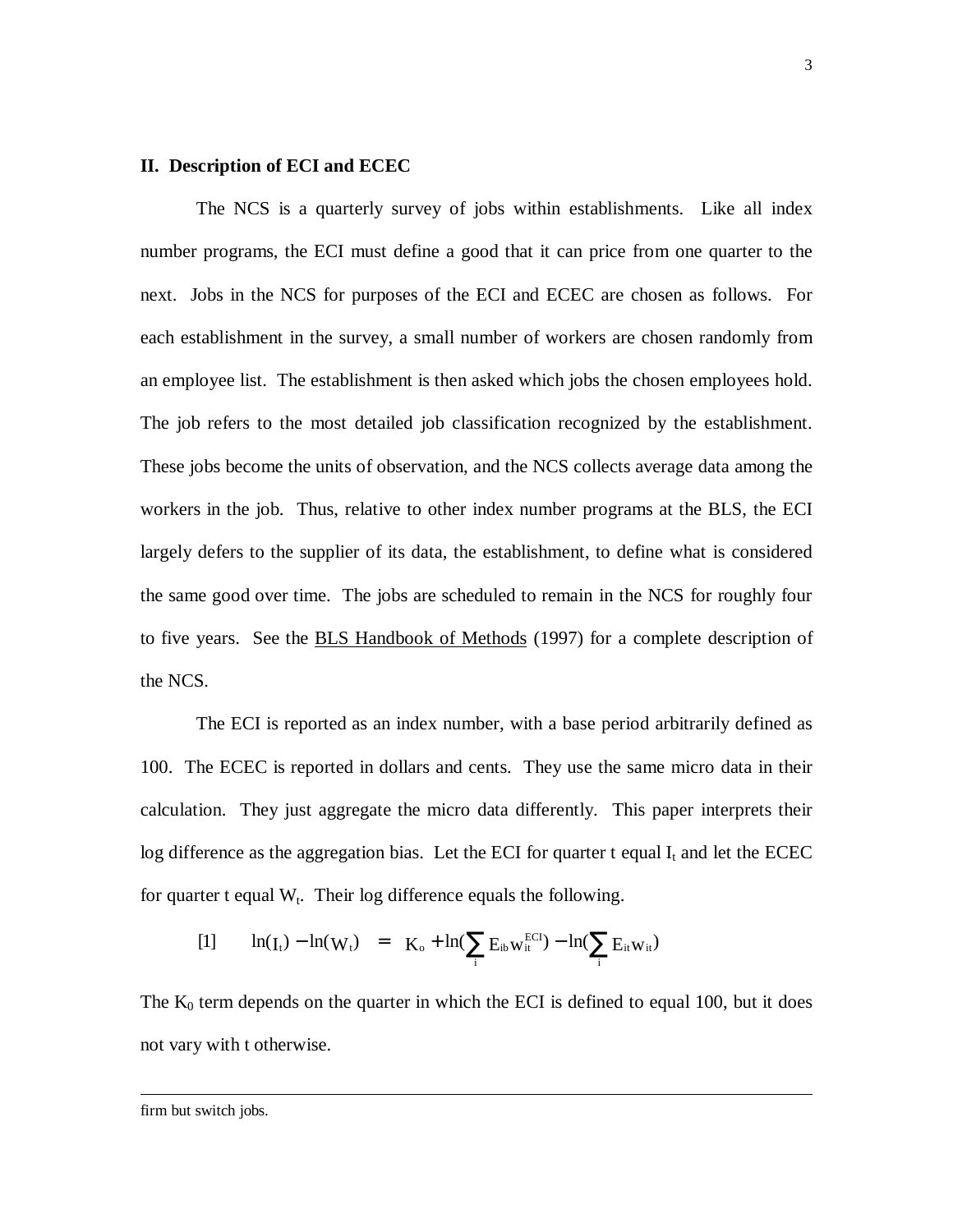## **II. Description of ECI and ECEC**

The NCS is a quarterly survey of jobs within establishments. Like all index number programs, the ECI must define a good that it can price from one quarter to the next. Jobs in the NCS for purposes of the ECI and ECEC are chosen as follows. For each establishment in the survey, a small number of workers are chosen randomly from an employee list. The establishment is then asked which jobs the chosen employees hold. The job refers to the most detailed job classification recognized by the establishment. These jobs become the units of observation, and the NCS collects average data among the workers in the job. Thus, relative to other index number programs at the BLS, the ECI largely defers to the supplier of its data, the establishment, to define what is considered the same good over time. The jobs are scheduled to remain in the NCS for roughly four to five years. See the BLS Handbook of Methods (1997) for a complete description of the NCS.

The ECI is reported as an index number, with a base period arbitrarily defined as 100. The ECEC is reported in dollars and cents. They use the same micro data in their calculation. They just aggregate the micro data differently. This paper interprets their log difference as the aggregation bias. Let the ECI for quarter t equal  $I_t$  and let the ECEC for quarter t equal  $W_t$ . Their log difference equals the following.

$$
[1] \qquad \ln(I_t) - \ln(W_t) \quad = \quad K_o + \ln(\sum_i E_{ib} w_{it}^{ECI}) - \ln(\sum_i E_{it} w_{it})
$$

The  $K_0$  term depends on the quarter in which the ECI is defined to equal 100, but it does not vary with t otherwise.

firm but switch jobs.

-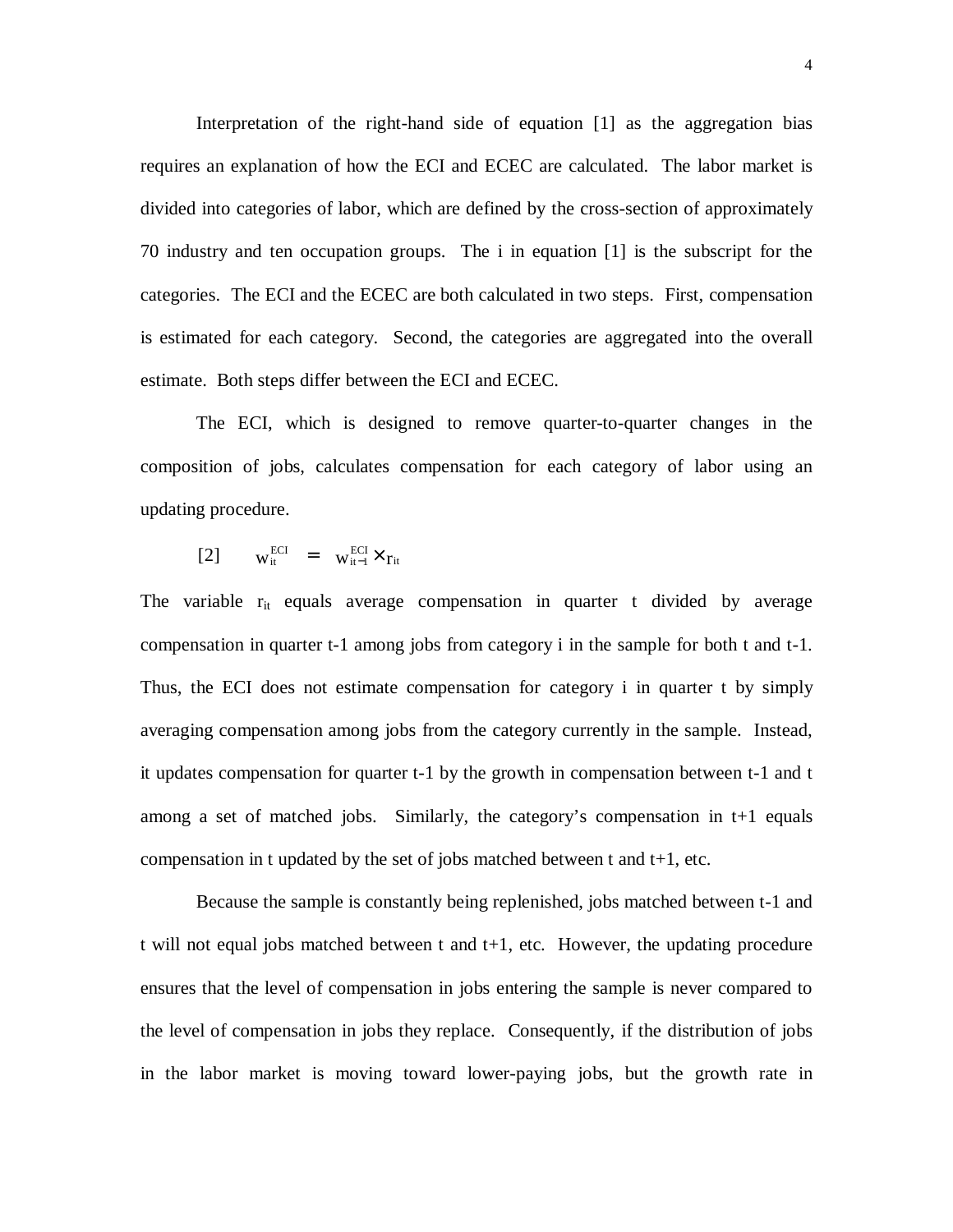Interpretation of the right-hand side of equation [1] as the aggregation bias requires an explanation of how the ECI and ECEC are calculated. The labor market is divided into categories of labor, which are defined by the cross-section of approximately 70 industry and ten occupation groups. The i in equation [1] is the subscript for the categories. The ECI and the ECEC are both calculated in two steps. First, compensation is estimated for each category. Second, the categories are aggregated into the overall estimate. Both steps differ between the ECI and ECEC.

The ECI, which is designed to remove quarter-to-quarter changes in the composition of jobs, calculates compensation for each category of labor using an updating procedure.

$$
[2] \qquad w_{it}^{ECI} = w_{it-1}^{ECI} \times r_{it}
$$

The variable  $r_{it}$  equals average compensation in quarter t divided by average compensation in quarter t-1 among jobs from category i in the sample for both t and t-1. Thus, the ECI does not estimate compensation for category i in quarter t by simply averaging compensation among jobs from the category currently in the sample. Instead, it updates compensation for quarter t-1 by the growth in compensation between t-1 and t among a set of matched jobs. Similarly, the category's compensation in t+1 equals compensation in t updated by the set of jobs matched between t and  $t+1$ , etc.

Because the sample is constantly being replenished, jobs matched between t-1 and t will not equal jobs matched between t and t+1, etc. However, the updating procedure ensures that the level of compensation in jobs entering the sample is never compared to the level of compensation in jobs they replace. Consequently, if the distribution of jobs in the labor market is moving toward lower-paying jobs, but the growth rate in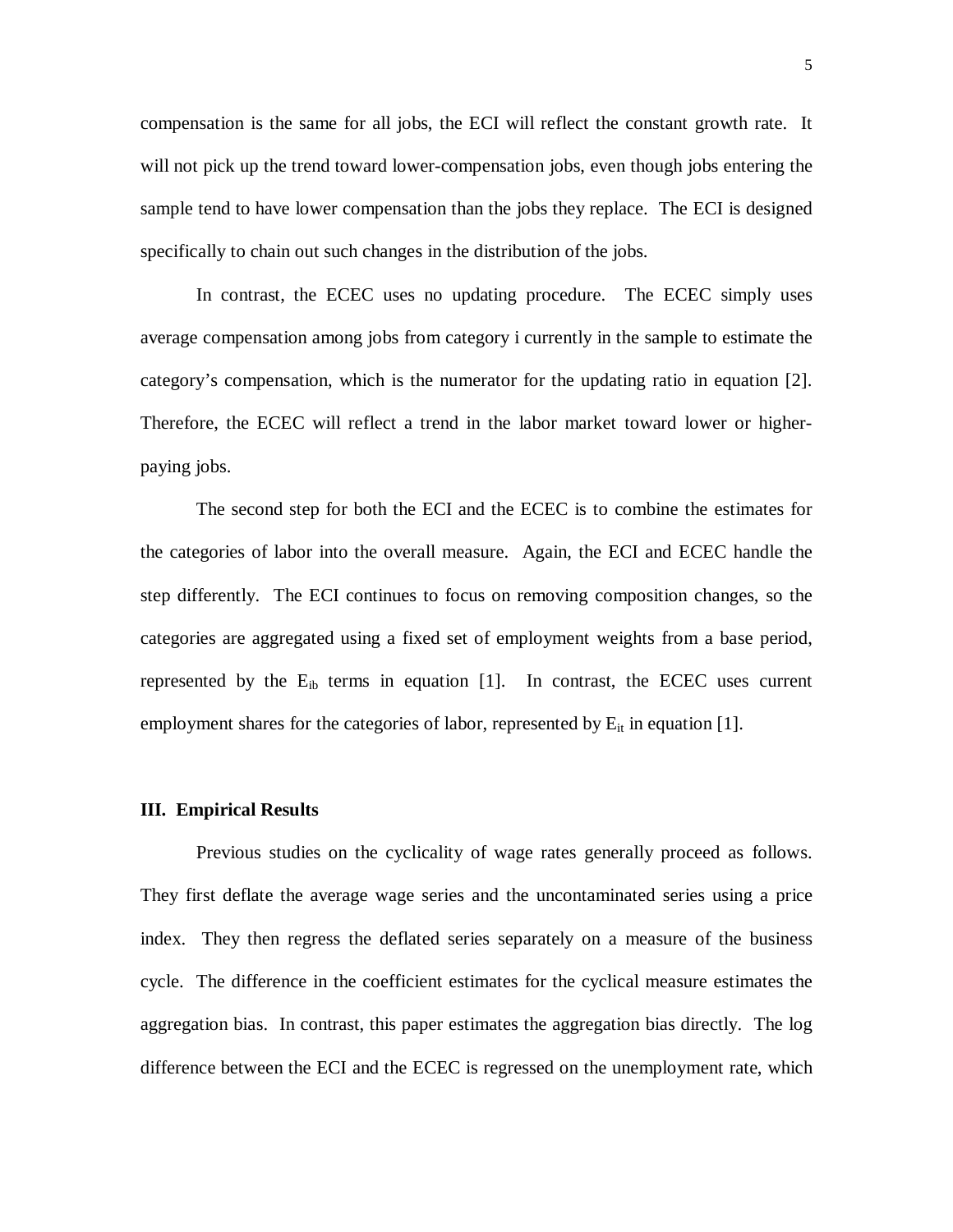compensation is the same for all jobs, the ECI will reflect the constant growth rate. It will not pick up the trend toward lower-compensation jobs, even though jobs entering the sample tend to have lower compensation than the jobs they replace. The ECI is designed specifically to chain out such changes in the distribution of the jobs.

In contrast, the ECEC uses no updating procedure. The ECEC simply uses average compensation among jobs from category i currently in the sample to estimate the category's compensation, which is the numerator for the updating ratio in equation [2]. Therefore, the ECEC will reflect a trend in the labor market toward lower or higherpaying jobs.

The second step for both the ECI and the ECEC is to combine the estimates for the categories of labor into the overall measure. Again, the ECI and ECEC handle the step differently. The ECI continues to focus on removing composition changes, so the categories are aggregated using a fixed set of employment weights from a base period, represented by the  $E_{ib}$  terms in equation [1]. In contrast, the ECEC uses current employment shares for the categories of labor, represented by  $E_{it}$  in equation [1].

#### **III. Empirical Results**

Previous studies on the cyclicality of wage rates generally proceed as follows. They first deflate the average wage series and the uncontaminated series using a price index. They then regress the deflated series separately on a measure of the business cycle. The difference in the coefficient estimates for the cyclical measure estimates the aggregation bias. In contrast, this paper estimates the aggregation bias directly. The log difference between the ECI and the ECEC is regressed on the unemployment rate, which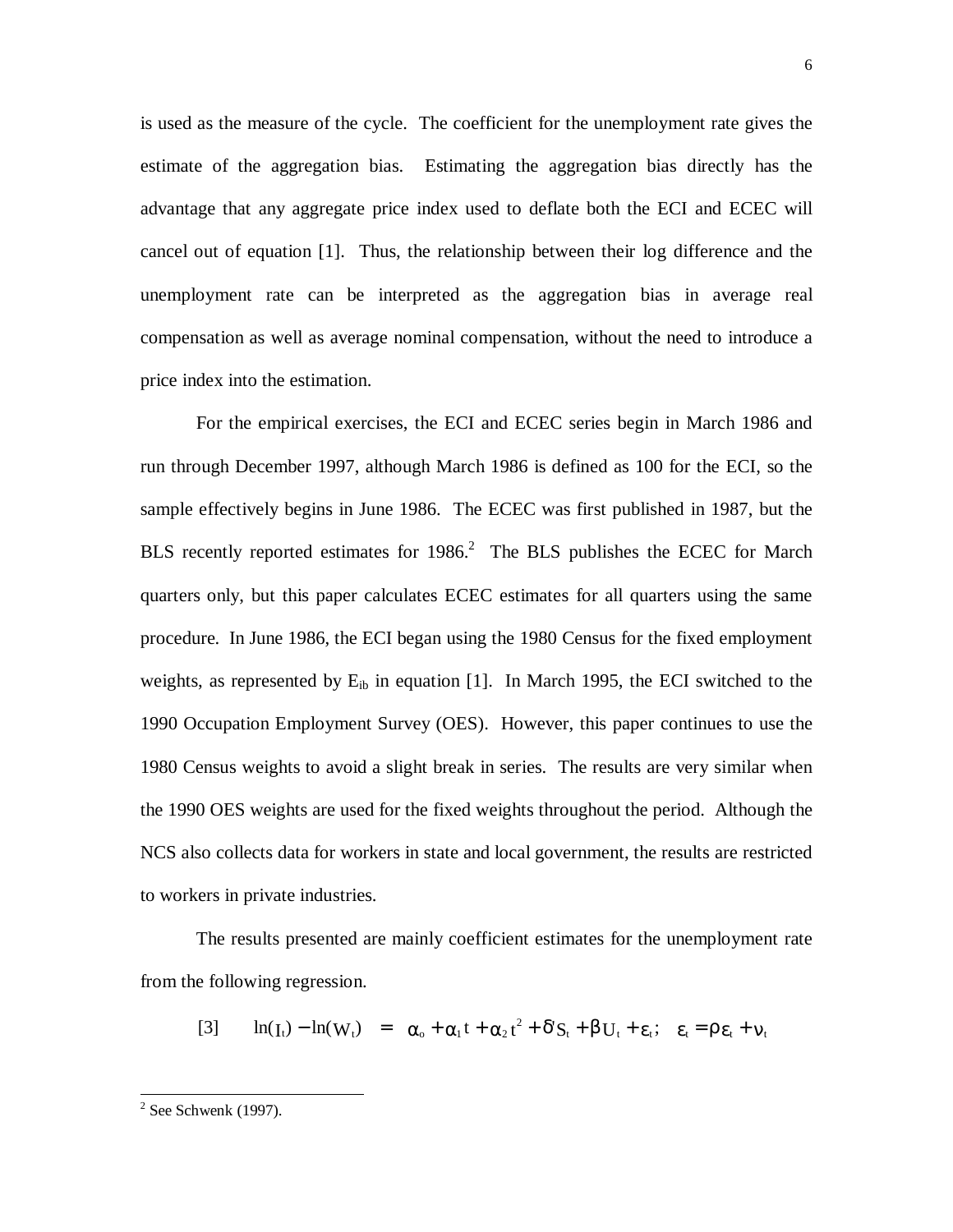is used as the measure of the cycle. The coefficient for the unemployment rate gives the estimate of the aggregation bias. Estimating the aggregation bias directly has the advantage that any aggregate price index used to deflate both the ECI and ECEC will cancel out of equation [1]. Thus, the relationship between their log difference and the unemployment rate can be interpreted as the aggregation bias in average real compensation as well as average nominal compensation, without the need to introduce a price index into the estimation.

For the empirical exercises, the ECI and ECEC series begin in March 1986 and run through December 1997, although March 1986 is defined as 100 for the ECI, so the sample effectively begins in June 1986. The ECEC was first published in 1987, but the BLS recently reported estimates for  $1986$ <sup>2</sup> The BLS publishes the ECEC for March quarters only, but this paper calculates ECEC estimates for all quarters using the same procedure. In June 1986, the ECI began using the 1980 Census for the fixed employment weights, as represented by  $E_{ib}$  in equation [1]. In March 1995, the ECI switched to the 1990 Occupation Employment Survey (OES). However, this paper continues to use the 1980 Census weights to avoid a slight break in series. The results are very similar when the 1990 OES weights are used for the fixed weights throughout the period. Although the NCS also collects data for workers in state and local government, the results are restricted to workers in private industries.

The results presented are mainly coefficient estimates for the unemployment rate from the following regression.

$$
[3] \qquad \ln(I_t) - \ln(W_t) = \alpha_0 + \alpha_1 t + \alpha_2 t^2 + \delta' S_t + \beta U_t + \varepsilon_t; \quad \varepsilon_t = \rho \varepsilon_t + v_t
$$

-

 $2$  See Schwenk (1997).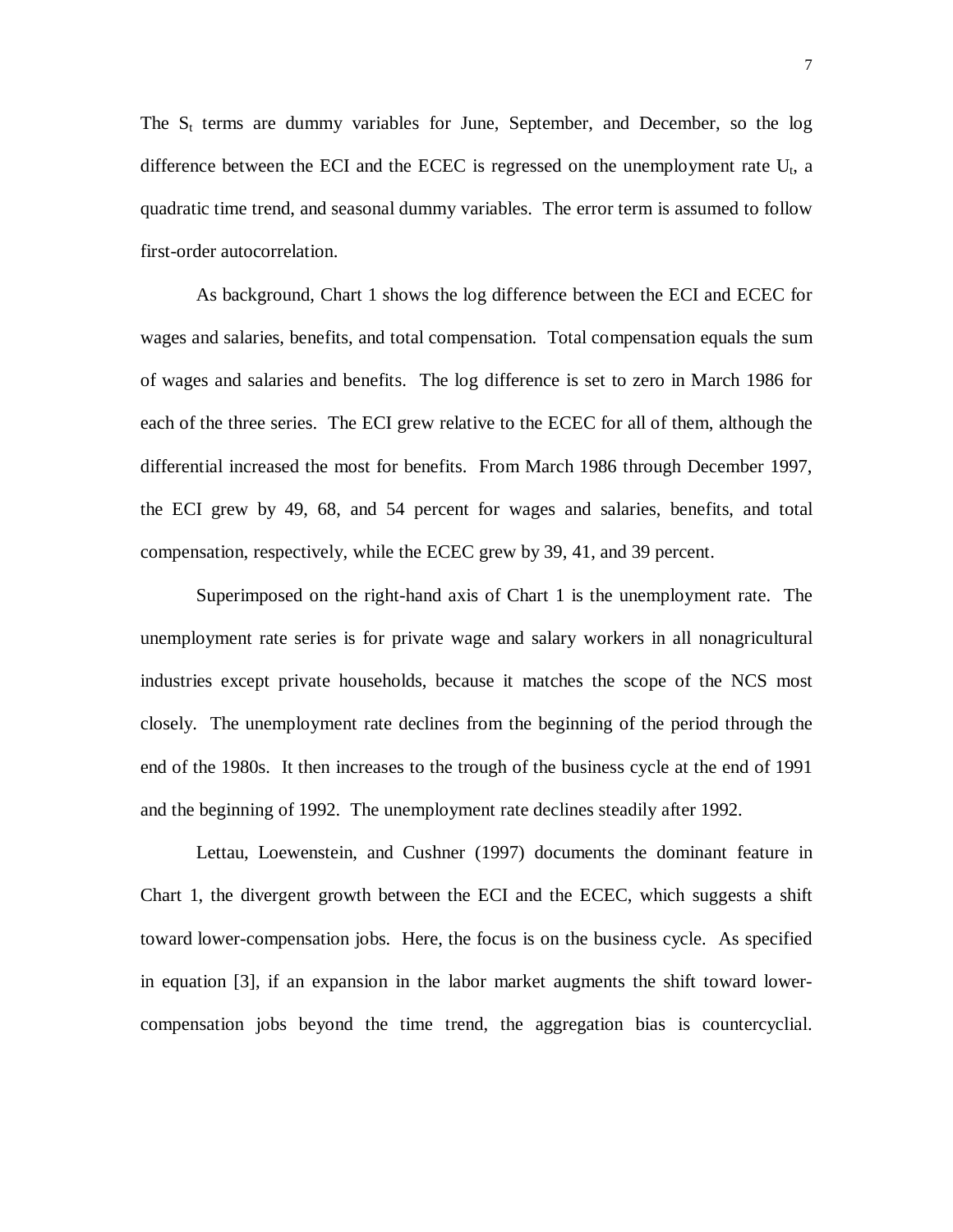The  $S_t$  terms are dummy variables for June, September, and December, so the log difference between the ECI and the ECEC is regressed on the unemployment rate  $U_t$ , a quadratic time trend, and seasonal dummy variables. The error term is assumed to follow first-order autocorrelation.

As background, Chart 1 shows the log difference between the ECI and ECEC for wages and salaries, benefits, and total compensation. Total compensation equals the sum of wages and salaries and benefits. The log difference is set to zero in March 1986 for each of the three series. The ECI grew relative to the ECEC for all of them, although the differential increased the most for benefits. From March 1986 through December 1997, the ECI grew by 49, 68, and 54 percent for wages and salaries, benefits, and total compensation, respectively, while the ECEC grew by 39, 41, and 39 percent.

 Superimposed on the right-hand axis of Chart 1 is the unemployment rate. The unemployment rate series is for private wage and salary workers in all nonagricultural industries except private households, because it matches the scope of the NCS most closely. The unemployment rate declines from the beginning of the period through the end of the 1980s. It then increases to the trough of the business cycle at the end of 1991 and the beginning of 1992. The unemployment rate declines steadily after 1992.

Lettau, Loewenstein, and Cushner (1997) documents the dominant feature in Chart 1, the divergent growth between the ECI and the ECEC, which suggests a shift toward lower-compensation jobs. Here, the focus is on the business cycle. As specified in equation [3], if an expansion in the labor market augments the shift toward lowercompensation jobs beyond the time trend, the aggregation bias is countercyclial.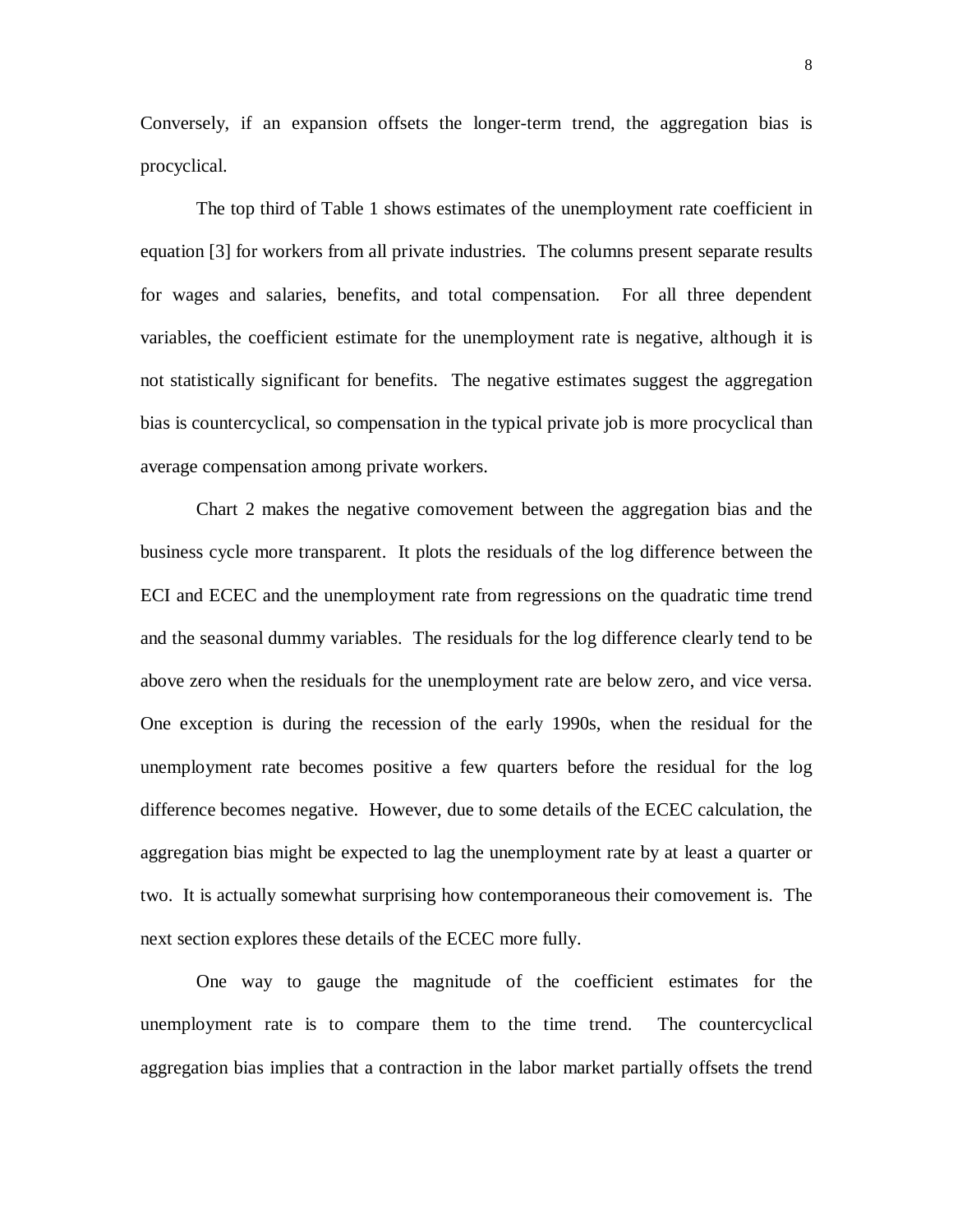Conversely, if an expansion offsets the longer-term trend, the aggregation bias is procyclical.

The top third of Table 1 shows estimates of the unemployment rate coefficient in equation [3] for workers from all private industries. The columns present separate results for wages and salaries, benefits, and total compensation. For all three dependent variables, the coefficient estimate for the unemployment rate is negative, although it is not statistically significant for benefits. The negative estimates suggest the aggregation bias is countercyclical, so compensation in the typical private job is more procyclical than average compensation among private workers.

Chart 2 makes the negative comovement between the aggregation bias and the business cycle more transparent. It plots the residuals of the log difference between the ECI and ECEC and the unemployment rate from regressions on the quadratic time trend and the seasonal dummy variables. The residuals for the log difference clearly tend to be above zero when the residuals for the unemployment rate are below zero, and vice versa. One exception is during the recession of the early 1990s, when the residual for the unemployment rate becomes positive a few quarters before the residual for the log difference becomes negative. However, due to some details of the ECEC calculation, the aggregation bias might be expected to lag the unemployment rate by at least a quarter or two. It is actually somewhat surprising how contemporaneous their comovement is. The next section explores these details of the ECEC more fully.

One way to gauge the magnitude of the coefficient estimates for the unemployment rate is to compare them to the time trend. The countercyclical aggregation bias implies that a contraction in the labor market partially offsets the trend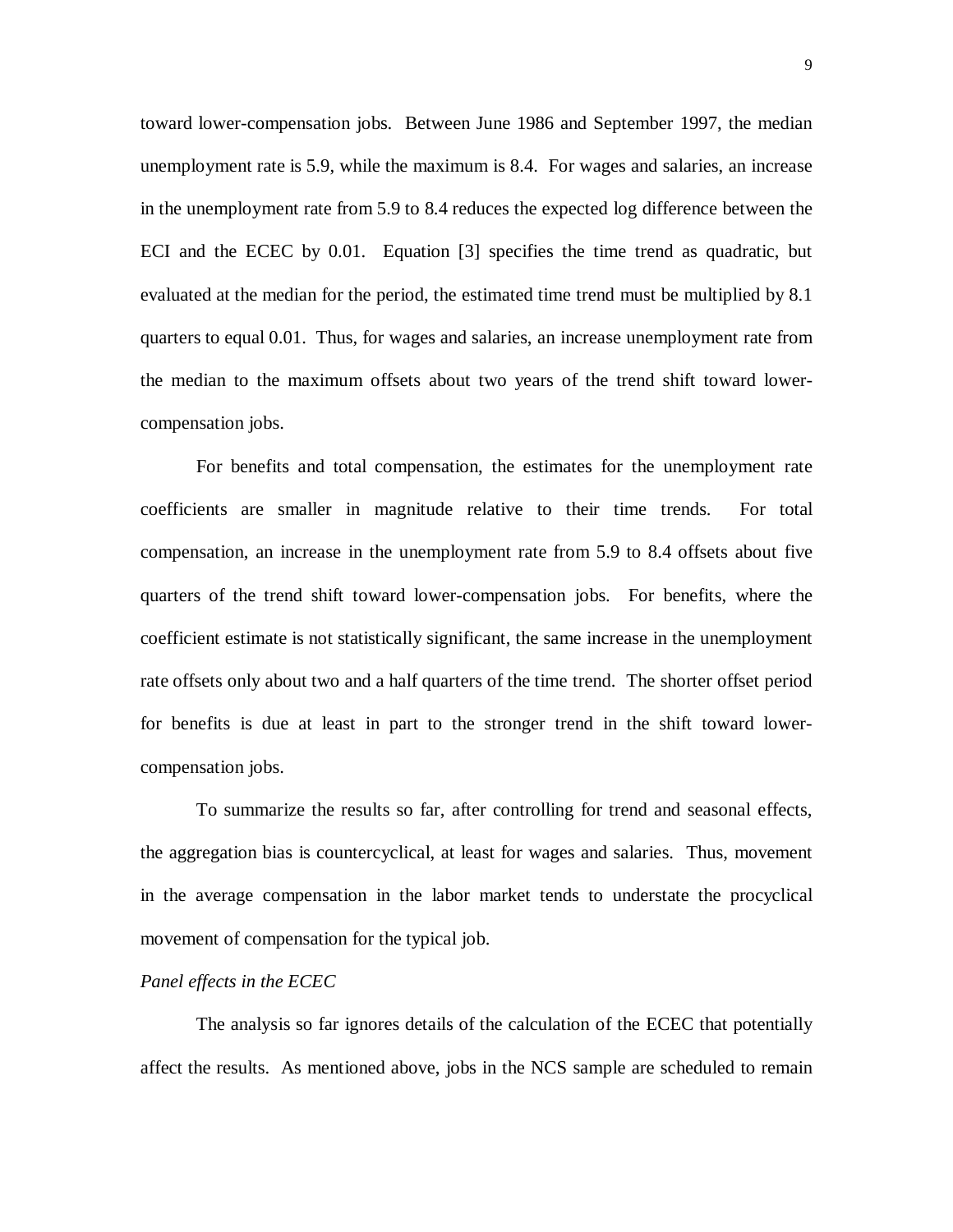toward lower-compensation jobs. Between June 1986 and September 1997, the median unemployment rate is 5.9, while the maximum is 8.4. For wages and salaries, an increase in the unemployment rate from 5.9 to 8.4 reduces the expected log difference between the ECI and the ECEC by 0.01. Equation [3] specifies the time trend as quadratic, but evaluated at the median for the period, the estimated time trend must be multiplied by 8.1 quarters to equal 0.01. Thus, for wages and salaries, an increase unemployment rate from the median to the maximum offsets about two years of the trend shift toward lowercompensation jobs.

For benefits and total compensation, the estimates for the unemployment rate coefficients are smaller in magnitude relative to their time trends. For total compensation, an increase in the unemployment rate from 5.9 to 8.4 offsets about five quarters of the trend shift toward lower-compensation jobs. For benefits, where the coefficient estimate is not statistically significant, the same increase in the unemployment rate offsets only about two and a half quarters of the time trend. The shorter offset period for benefits is due at least in part to the stronger trend in the shift toward lowercompensation jobs.

To summarize the results so far, after controlling for trend and seasonal effects, the aggregation bias is countercyclical, at least for wages and salaries. Thus, movement in the average compensation in the labor market tends to understate the procyclical movement of compensation for the typical job.

#### *Panel effects in the ECEC*

The analysis so far ignores details of the calculation of the ECEC that potentially affect the results. As mentioned above, jobs in the NCS sample are scheduled to remain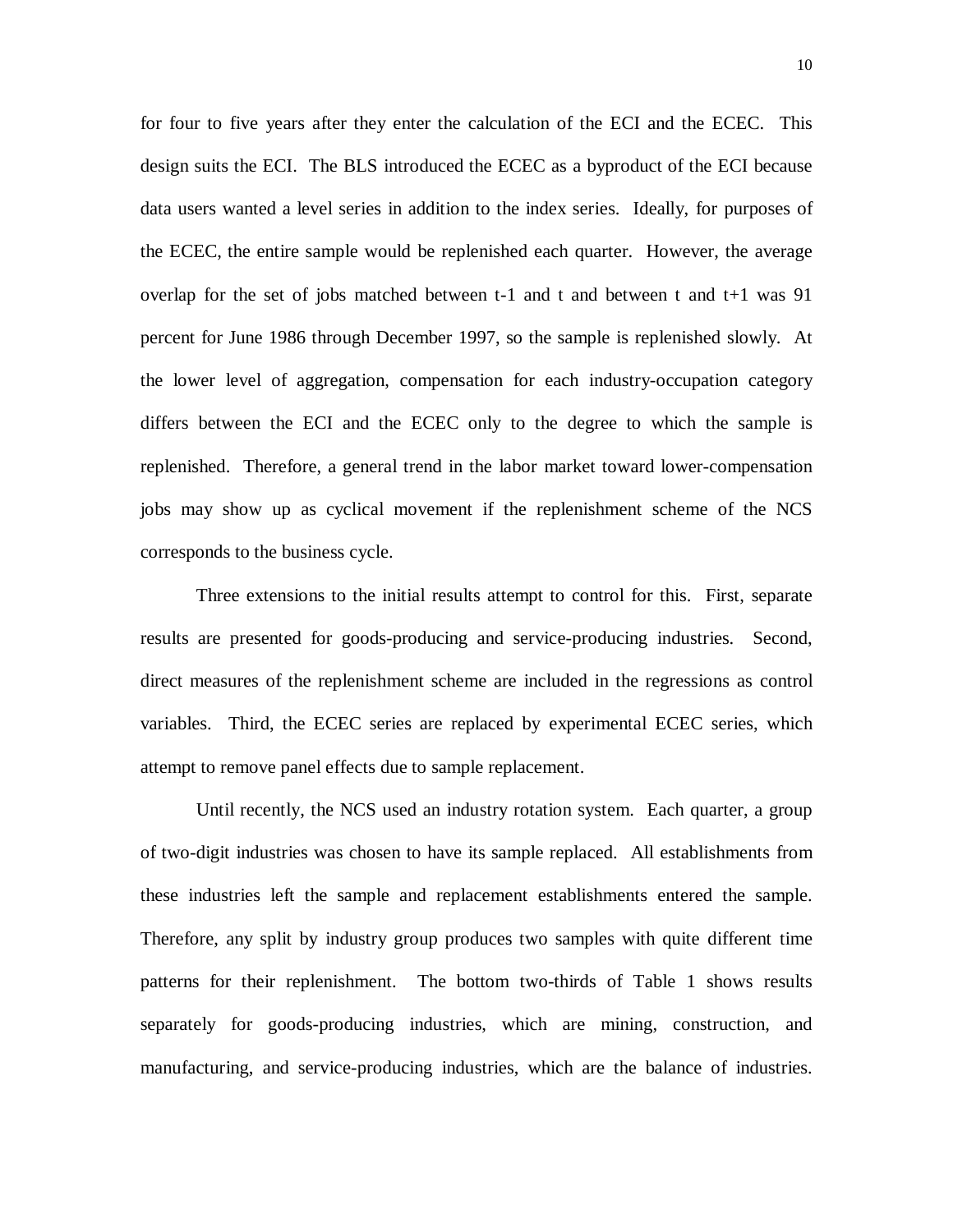for four to five years after they enter the calculation of the ECI and the ECEC. This design suits the ECI. The BLS introduced the ECEC as a byproduct of the ECI because data users wanted a level series in addition to the index series. Ideally, for purposes of the ECEC, the entire sample would be replenished each quarter. However, the average overlap for the set of jobs matched between  $t-1$  and  $t$  and between  $t$  and  $t+1$  was 91 percent for June 1986 through December 1997, so the sample is replenished slowly. At the lower level of aggregation, compensation for each industry-occupation category differs between the ECI and the ECEC only to the degree to which the sample is replenished. Therefore, a general trend in the labor market toward lower-compensation jobs may show up as cyclical movement if the replenishment scheme of the NCS corresponds to the business cycle.

Three extensions to the initial results attempt to control for this. First, separate results are presented for goods-producing and service-producing industries. Second, direct measures of the replenishment scheme are included in the regressions as control variables. Third, the ECEC series are replaced by experimental ECEC series, which attempt to remove panel effects due to sample replacement.

Until recently, the NCS used an industry rotation system. Each quarter, a group of two-digit industries was chosen to have its sample replaced. All establishments from these industries left the sample and replacement establishments entered the sample. Therefore, any split by industry group produces two samples with quite different time patterns for their replenishment. The bottom two-thirds of Table 1 shows results separately for goods-producing industries, which are mining, construction, and manufacturing, and service-producing industries, which are the balance of industries.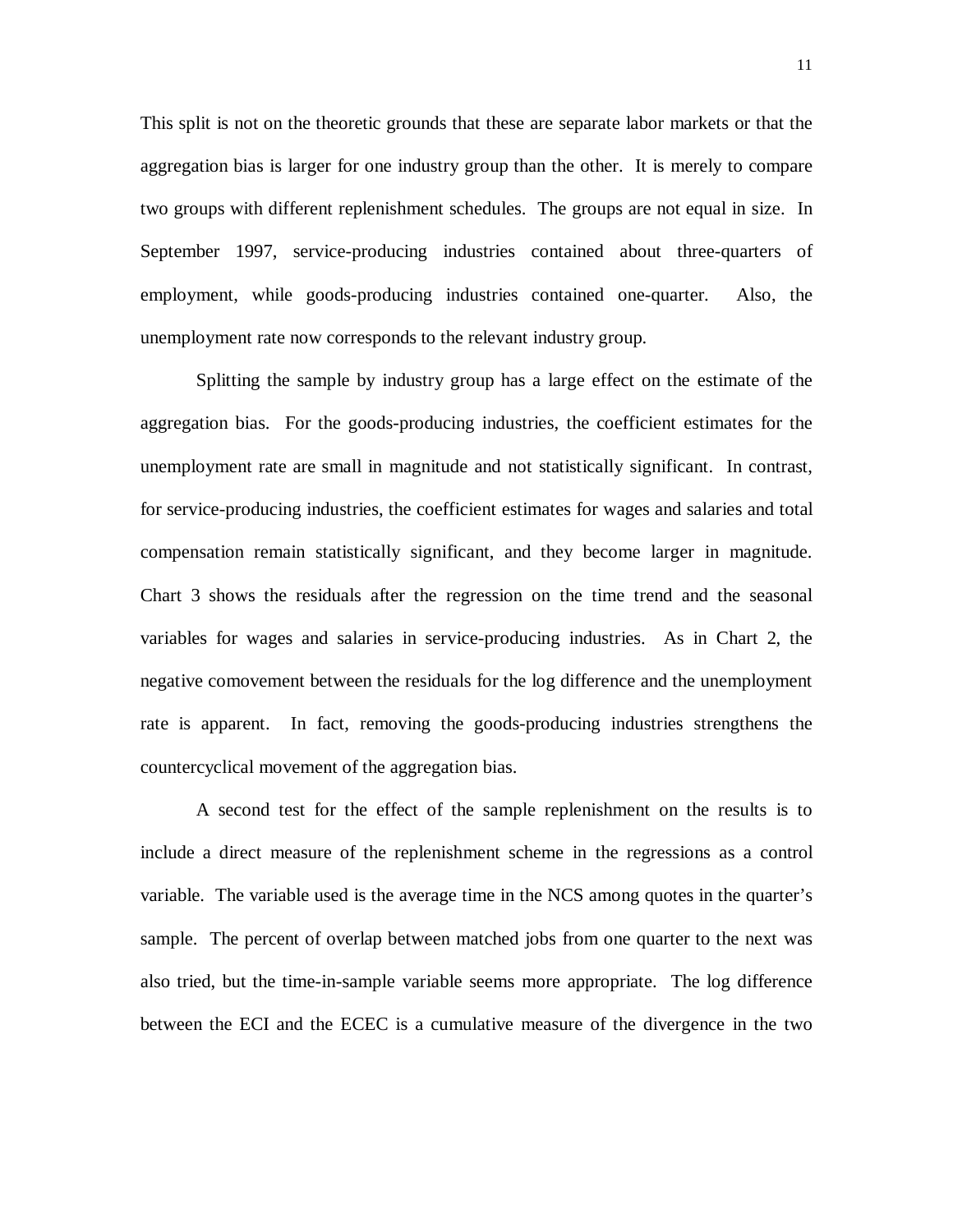This split is not on the theoretic grounds that these are separate labor markets or that the aggregation bias is larger for one industry group than the other. It is merely to compare two groups with different replenishment schedules. The groups are not equal in size. In September 1997, service-producing industries contained about three-quarters of employment, while goods-producing industries contained one-quarter. Also, the unemployment rate now corresponds to the relevant industry group.

Splitting the sample by industry group has a large effect on the estimate of the aggregation bias. For the goods-producing industries, the coefficient estimates for the unemployment rate are small in magnitude and not statistically significant. In contrast, for service-producing industries, the coefficient estimates for wages and salaries and total compensation remain statistically significant, and they become larger in magnitude. Chart 3 shows the residuals after the regression on the time trend and the seasonal variables for wages and salaries in service-producing industries. As in Chart 2, the negative comovement between the residuals for the log difference and the unemployment rate is apparent. In fact, removing the goods-producing industries strengthens the countercyclical movement of the aggregation bias.

A second test for the effect of the sample replenishment on the results is to include a direct measure of the replenishment scheme in the regressions as a control variable. The variable used is the average time in the NCS among quotes in the quarter's sample. The percent of overlap between matched jobs from one quarter to the next was also tried, but the time-in-sample variable seems more appropriate. The log difference between the ECI and the ECEC is a cumulative measure of the divergence in the two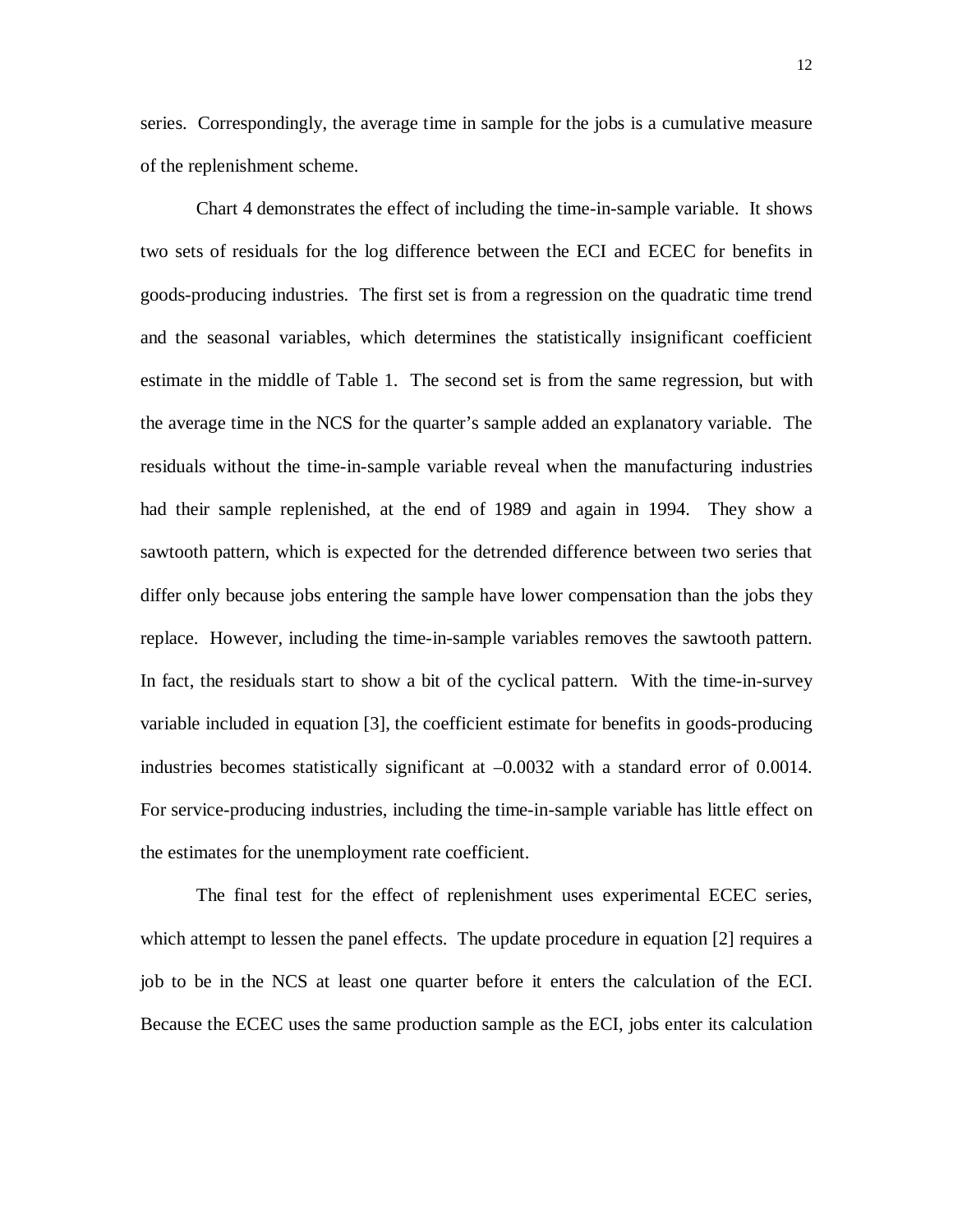series. Correspondingly, the average time in sample for the jobs is a cumulative measure of the replenishment scheme.

Chart 4 demonstrates the effect of including the time-in-sample variable. It shows two sets of residuals for the log difference between the ECI and ECEC for benefits in goods-producing industries. The first set is from a regression on the quadratic time trend and the seasonal variables, which determines the statistically insignificant coefficient estimate in the middle of Table 1. The second set is from the same regression, but with the average time in the NCS for the quarter's sample added an explanatory variable. The residuals without the time-in-sample variable reveal when the manufacturing industries had their sample replenished, at the end of 1989 and again in 1994. They show a sawtooth pattern, which is expected for the detrended difference between two series that differ only because jobs entering the sample have lower compensation than the jobs they replace. However, including the time-in-sample variables removes the sawtooth pattern. In fact, the residuals start to show a bit of the cyclical pattern. With the time-in-survey variable included in equation [3], the coefficient estimate for benefits in goods-producing industries becomes statistically significant at –0.0032 with a standard error of 0.0014. For service-producing industries, including the time-in-sample variable has little effect on the estimates for the unemployment rate coefficient.

The final test for the effect of replenishment uses experimental ECEC series, which attempt to lessen the panel effects. The update procedure in equation [2] requires a job to be in the NCS at least one quarter before it enters the calculation of the ECI. Because the ECEC uses the same production sample as the ECI, jobs enter its calculation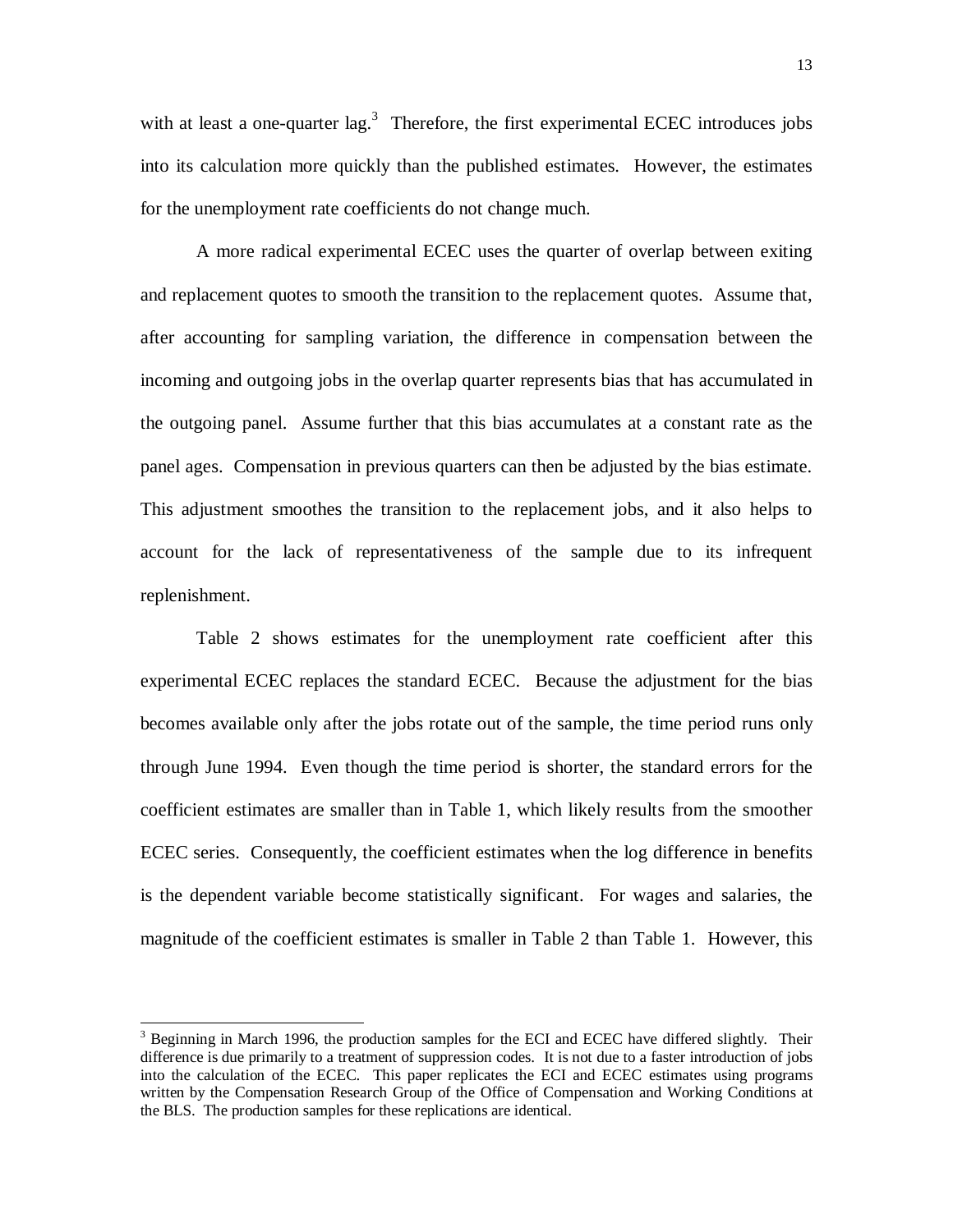with at least a one-quarter lag.<sup>3</sup> Therefore, the first experimental ECEC introduces jobs into its calculation more quickly than the published estimates. However, the estimates for the unemployment rate coefficients do not change much.

A more radical experimental ECEC uses the quarter of overlap between exiting and replacement quotes to smooth the transition to the replacement quotes. Assume that, after accounting for sampling variation, the difference in compensation between the incoming and outgoing jobs in the overlap quarter represents bias that has accumulated in the outgoing panel. Assume further that this bias accumulates at a constant rate as the panel ages. Compensation in previous quarters can then be adjusted by the bias estimate. This adjustment smoothes the transition to the replacement jobs, and it also helps to account for the lack of representativeness of the sample due to its infrequent replenishment.

Table 2 shows estimates for the unemployment rate coefficient after this experimental ECEC replaces the standard ECEC. Because the adjustment for the bias becomes available only after the jobs rotate out of the sample, the time period runs only through June 1994. Even though the time period is shorter, the standard errors for the coefficient estimates are smaller than in Table 1, which likely results from the smoother ECEC series. Consequently, the coefficient estimates when the log difference in benefits is the dependent variable become statistically significant. For wages and salaries, the magnitude of the coefficient estimates is smaller in Table 2 than Table 1. However, this

-

<sup>&</sup>lt;sup>3</sup> Beginning in March 1996, the production samples for the ECI and ECEC have differed slightly. Their difference is due primarily to a treatment of suppression codes. It is not due to a faster introduction of jobs into the calculation of the ECEC. This paper replicates the ECI and ECEC estimates using programs written by the Compensation Research Group of the Office of Compensation and Working Conditions at the BLS. The production samples for these replications are identical.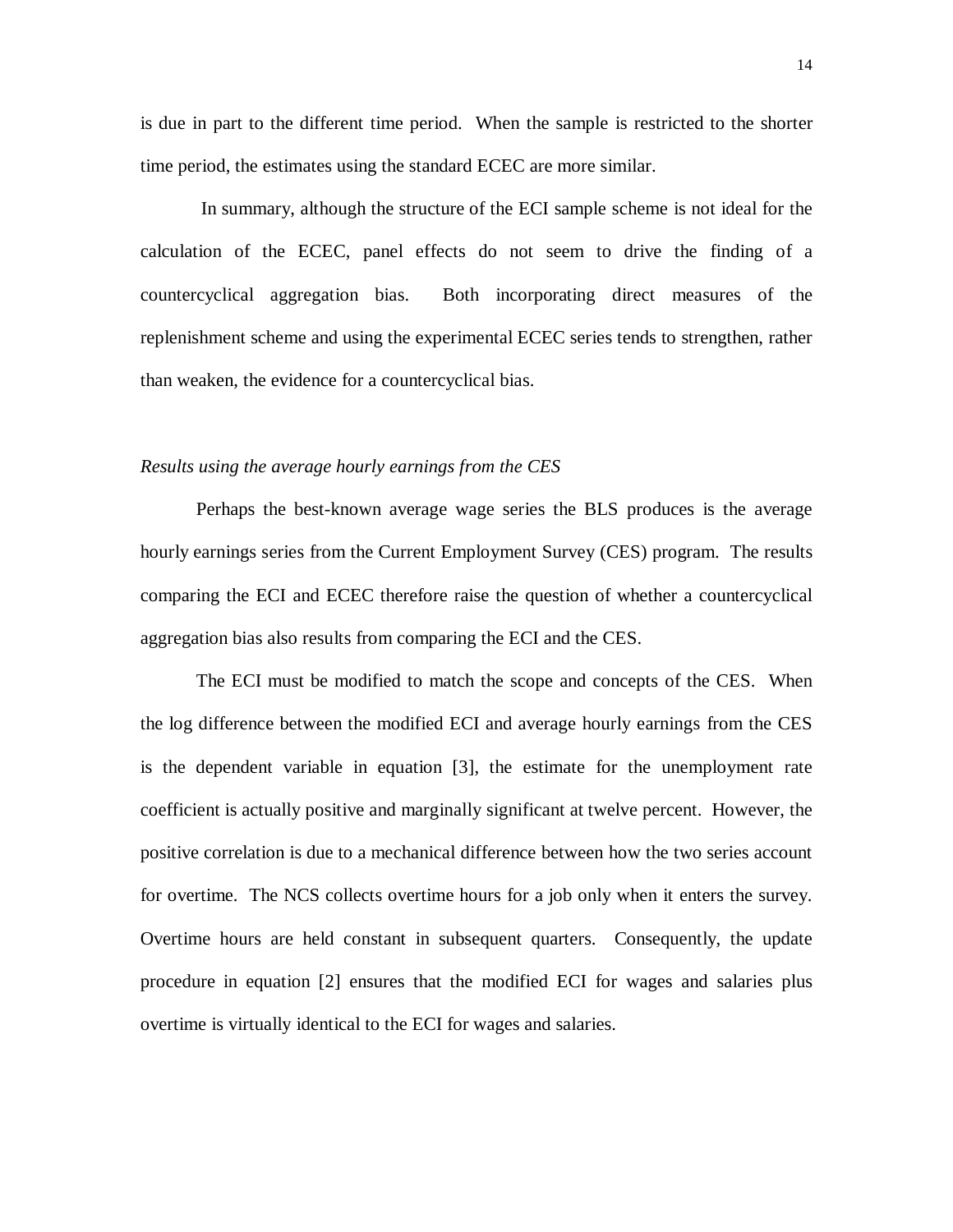is due in part to the different time period. When the sample is restricted to the shorter time period, the estimates using the standard ECEC are more similar.

 In summary, although the structure of the ECI sample scheme is not ideal for the calculation of the ECEC, panel effects do not seem to drive the finding of a countercyclical aggregation bias. Both incorporating direct measures of the replenishment scheme and using the experimental ECEC series tends to strengthen, rather than weaken, the evidence for a countercyclical bias.

### *Results using the average hourly earnings from the CES*

Perhaps the best-known average wage series the BLS produces is the average hourly earnings series from the Current Employment Survey (CES) program. The results comparing the ECI and ECEC therefore raise the question of whether a countercyclical aggregation bias also results from comparing the ECI and the CES.

The ECI must be modified to match the scope and concepts of the CES. When the log difference between the modified ECI and average hourly earnings from the CES is the dependent variable in equation [3], the estimate for the unemployment rate coefficient is actually positive and marginally significant at twelve percent. However, the positive correlation is due to a mechanical difference between how the two series account for overtime. The NCS collects overtime hours for a job only when it enters the survey. Overtime hours are held constant in subsequent quarters. Consequently, the update procedure in equation [2] ensures that the modified ECI for wages and salaries plus overtime is virtually identical to the ECI for wages and salaries.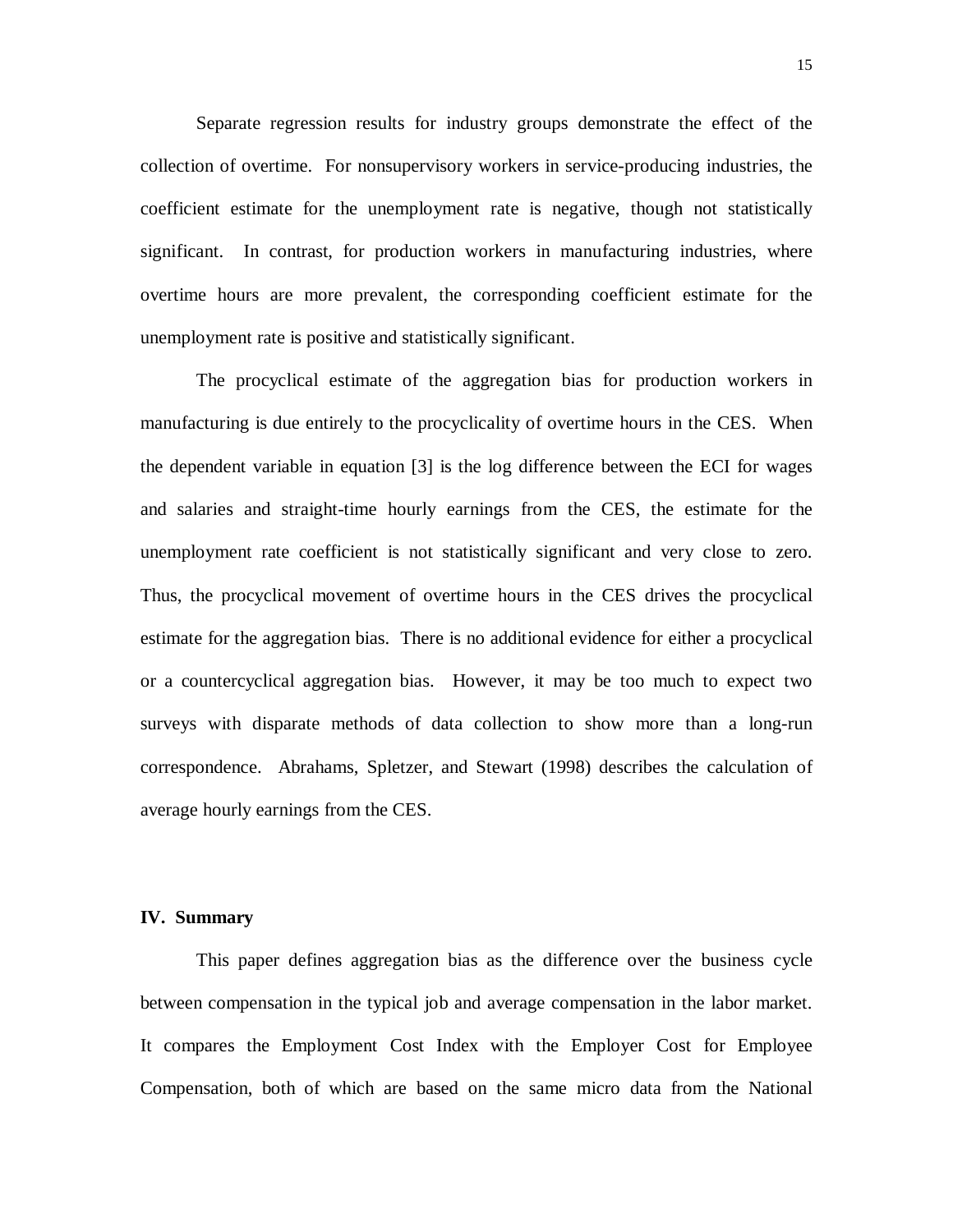Separate regression results for industry groups demonstrate the effect of the collection of overtime. For nonsupervisory workers in service-producing industries, the coefficient estimate for the unemployment rate is negative, though not statistically significant. In contrast, for production workers in manufacturing industries, where overtime hours are more prevalent, the corresponding coefficient estimate for the unemployment rate is positive and statistically significant.

The procyclical estimate of the aggregation bias for production workers in manufacturing is due entirely to the procyclicality of overtime hours in the CES. When the dependent variable in equation [3] is the log difference between the ECI for wages and salaries and straight-time hourly earnings from the CES, the estimate for the unemployment rate coefficient is not statistically significant and very close to zero. Thus, the procyclical movement of overtime hours in the CES drives the procyclical estimate for the aggregation bias. There is no additional evidence for either a procyclical or a countercyclical aggregation bias. However, it may be too much to expect two surveys with disparate methods of data collection to show more than a long-run correspondence. Abrahams, Spletzer, and Stewart (1998) describes the calculation of average hourly earnings from the CES.

### **IV. Summary**

This paper defines aggregation bias as the difference over the business cycle between compensation in the typical job and average compensation in the labor market. It compares the Employment Cost Index with the Employer Cost for Employee Compensation, both of which are based on the same micro data from the National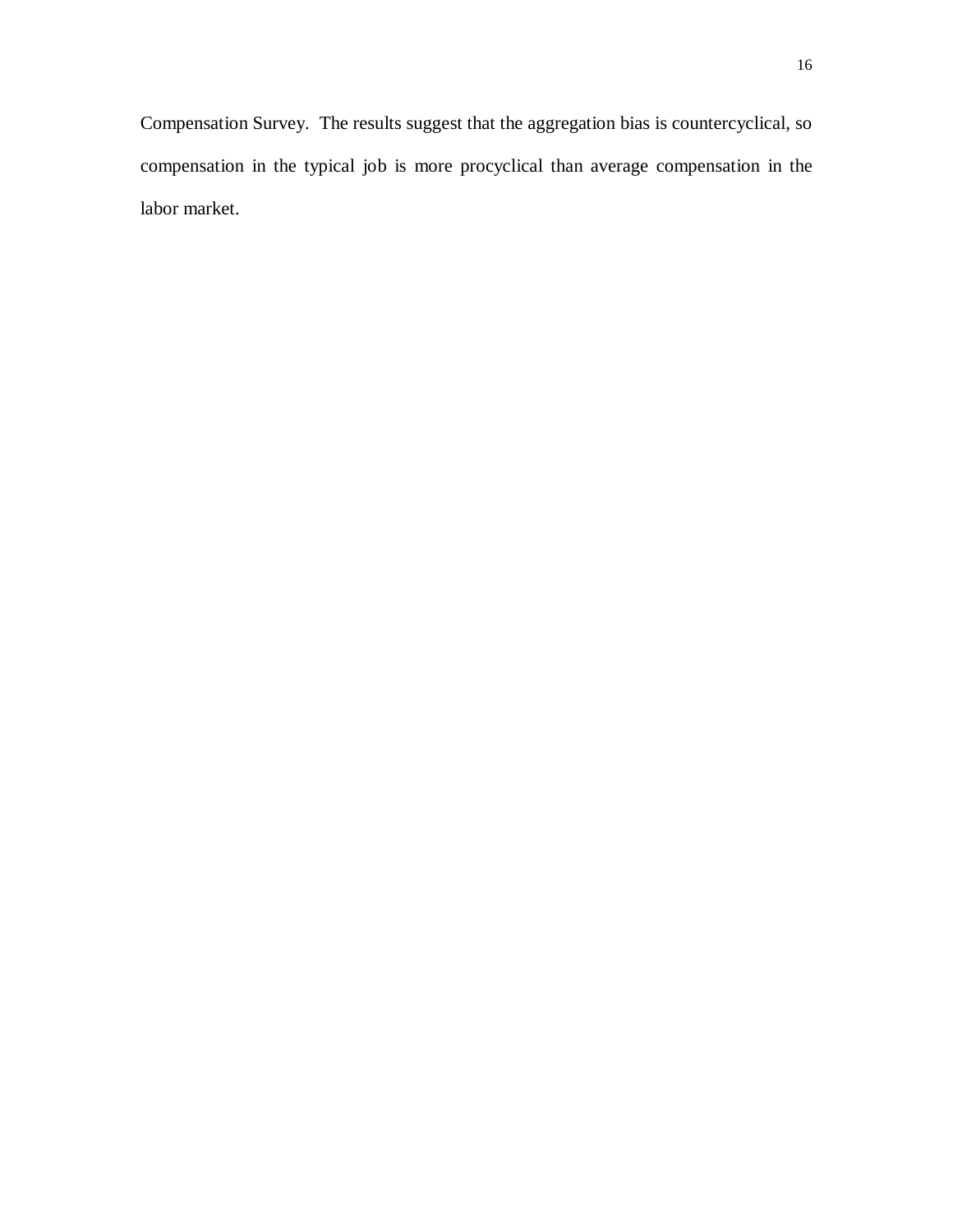Compensation Survey. The results suggest that the aggregation bias is countercyclical, so compensation in the typical job is more procyclical than average compensation in the labor market.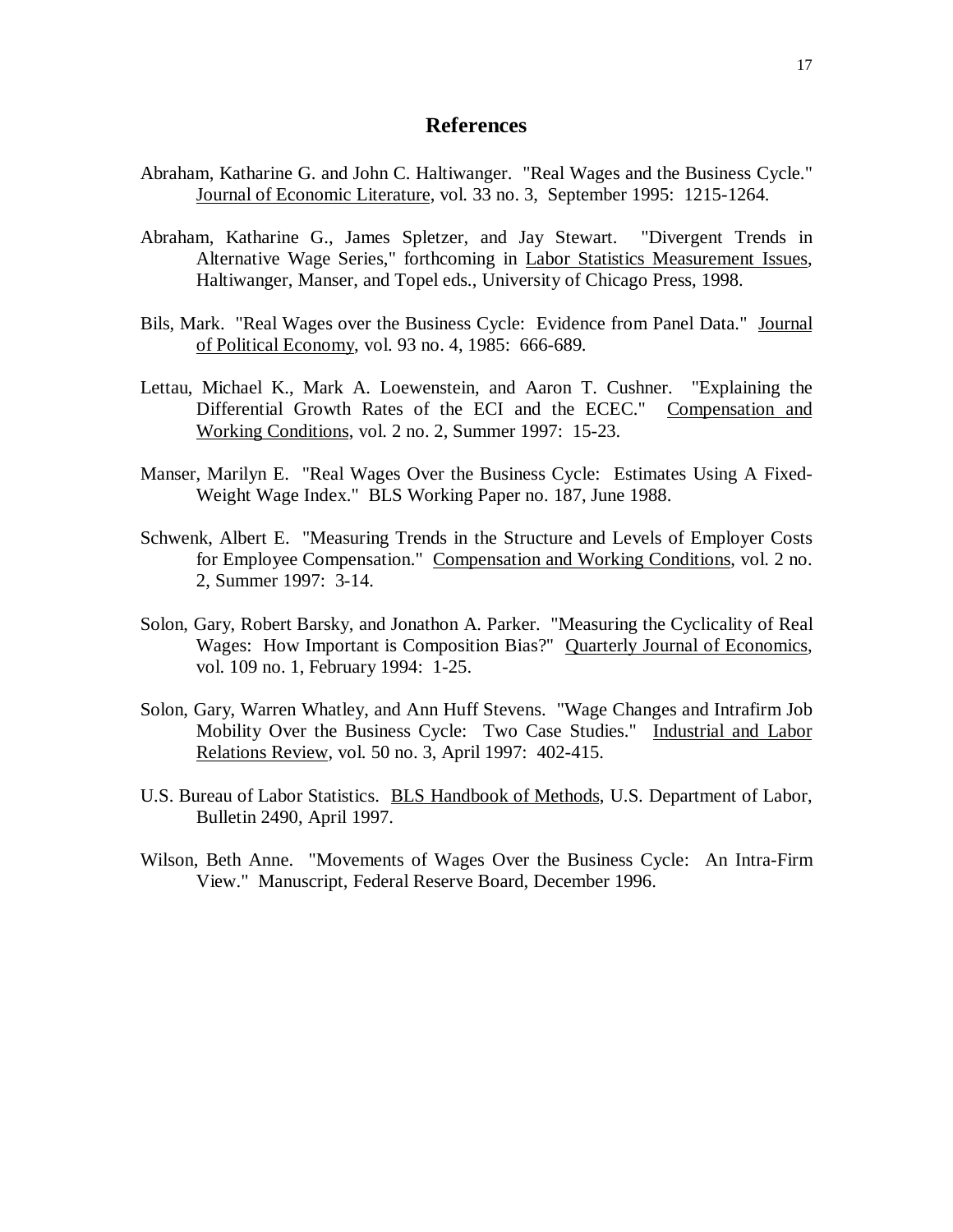# **References**

- Abraham, Katharine G. and John C. Haltiwanger. "Real Wages and the Business Cycle." Journal of Economic Literature, vol. 33 no. 3, September 1995: 1215-1264.
- Abraham, Katharine G., James Spletzer, and Jay Stewart. "Divergent Trends in Alternative Wage Series," forthcoming in Labor Statistics Measurement Issues, Haltiwanger, Manser, and Topel eds., University of Chicago Press, 1998.
- Bils, Mark. "Real Wages over the Business Cycle: Evidence from Panel Data." Journal of Political Economy, vol. 93 no. 4, 1985: 666-689.
- Lettau, Michael K., Mark A. Loewenstein, and Aaron T. Cushner. "Explaining the Differential Growth Rates of the ECI and the ECEC." Compensation and Working Conditions, vol. 2 no. 2, Summer 1997: 15-23.
- Manser, Marilyn E. "Real Wages Over the Business Cycle: Estimates Using A Fixed-Weight Wage Index." BLS Working Paper no. 187, June 1988.
- Schwenk, Albert E. "Measuring Trends in the Structure and Levels of Employer Costs for Employee Compensation." Compensation and Working Conditions, vol. 2 no. 2, Summer 1997: 3-14.
- Solon, Gary, Robert Barsky, and Jonathon A. Parker. "Measuring the Cyclicality of Real Wages: How Important is Composition Bias?" Quarterly Journal of Economics, vol. 109 no. 1, February 1994: 1-25.
- Solon, Gary, Warren Whatley, and Ann Huff Stevens. "Wage Changes and Intrafirm Job Mobility Over the Business Cycle: Two Case Studies." Industrial and Labor Relations Review, vol. 50 no. 3, April 1997: 402-415.
- U.S. Bureau of Labor Statistics. BLS Handbook of Methods, U.S. Department of Labor, Bulletin 2490, April 1997.
- Wilson, Beth Anne. "Movements of Wages Over the Business Cycle: An Intra-Firm View." Manuscript, Federal Reserve Board, December 1996.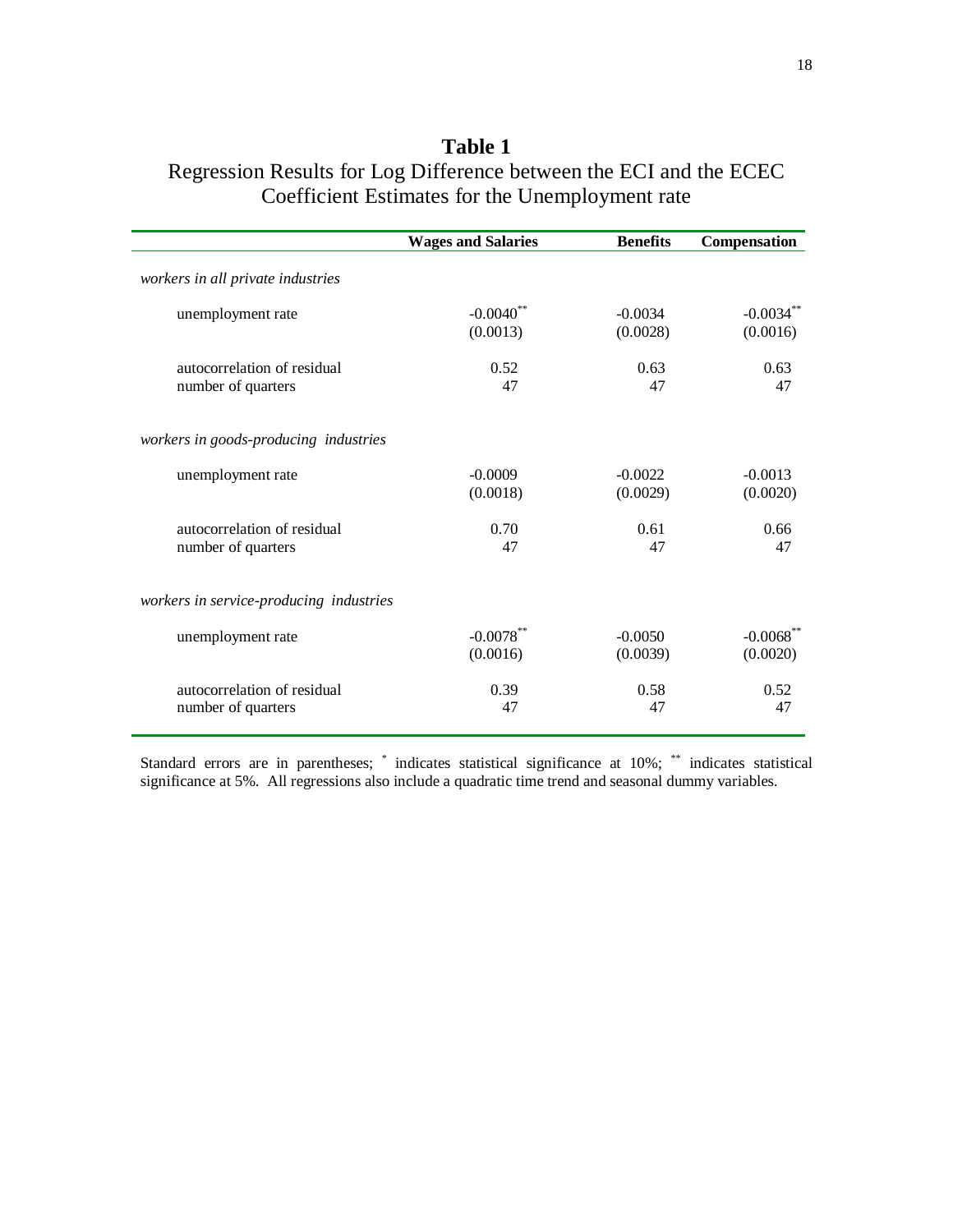|                                         | <b>Wages and Salaries</b> | <b>Benefits</b> | Compensation           |
|-----------------------------------------|---------------------------|-----------------|------------------------|
| workers in all private industries       |                           |                 |                        |
| unemployment rate                       | $-0.0040**$               | $-0.0034$       | $-0.0034**$            |
|                                         | (0.0013)                  | (0.0028)        | (0.0016)               |
| autocorrelation of residual             | 0.52                      | 0.63            | 0.63                   |
| number of quarters                      | 47                        | 47              | 47                     |
| workers in goods-producing industries   |                           |                 |                        |
| unemployment rate                       | $-0.0009$                 | $-0.0022$       | $-0.0013$              |
|                                         | (0.0018)                  | (0.0029)        | (0.0020)               |
| autocorrelation of residual             | 0.70                      | 0.61            | 0.66                   |
| number of quarters                      | 47                        | 47              | 47                     |
| workers in service-producing industries |                           |                 |                        |
| unemployment rate                       | $-0.0078$ **              | $-0.0050$       | $-0.0068$ <sup>*</sup> |
|                                         | (0.0016)                  | (0.0039)        | (0.0020)               |
| autocorrelation of residual             | 0.39                      | 0.58            | 0.52                   |
| number of quarters                      | 47                        | 47              | 47                     |

# **Table 1** Regression Results for Log Difference between the ECI and the ECEC Coefficient Estimates for the Unemployment rate

Standard errors are in parentheses; \* indicates statistical significance at 10%; \*\* indicates statistical significance at 5%. All regressions also include a quadratic time trend and seasonal dummy variables.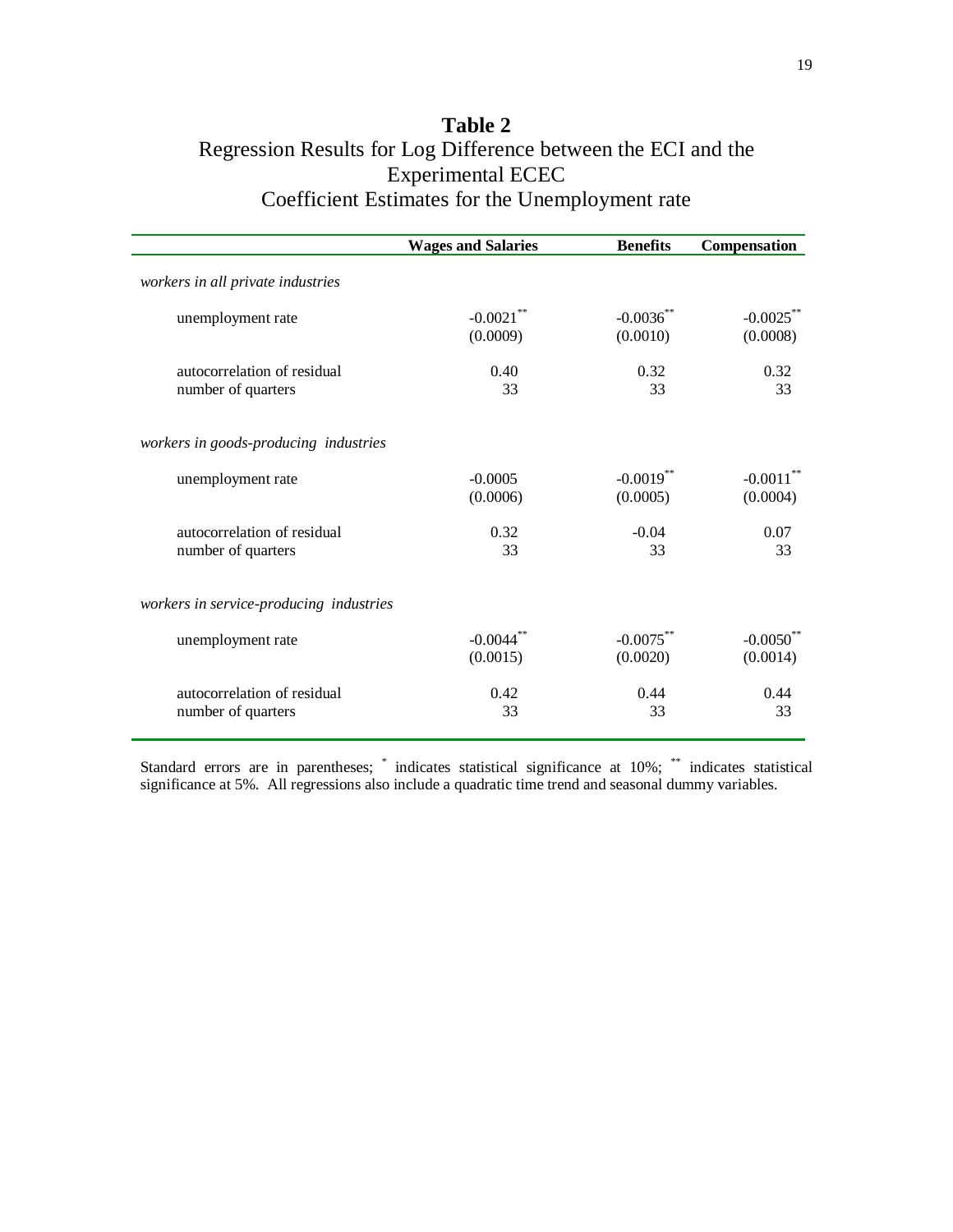# **Table 2** Regression Results for Log Difference between the ECI and the Experimental ECEC Coefficient Estimates for the Unemployment rate

|                                         | <b>Wages and Salaries</b> | <b>Benefits</b> | Compensation           |
|-----------------------------------------|---------------------------|-----------------|------------------------|
| workers in all private industries       |                           |                 |                        |
| unemployment rate                       | $-0.0021$ <sup>*</sup>    | $-0.0036$ **    | $-0.0025$              |
|                                         | (0.0009)                  | (0.0010)        | (0.0008)               |
| autocorrelation of residual             | 0.40                      | 0.32            | 0.32                   |
| number of quarters                      | 33                        | 33              | 33                     |
| workers in goods-producing industries   |                           |                 |                        |
| unemployment rate                       | $-0.0005$                 | $-0.0019$ **    | $-0.0011$ <sup>2</sup> |
|                                         | (0.0006)                  | (0.0005)        | (0.0004)               |
| autocorrelation of residual             | 0.32                      | $-0.04$         | 0.07                   |
| number of quarters                      | 33                        | 33              | 33                     |
| workers in service-producing industries |                           |                 |                        |
| unemployment rate                       | $-0.0044$ <sup>*</sup>    | $-0.0075$ **    | $-0.0050$ **           |
|                                         | (0.0015)                  | (0.0020)        | (0.0014)               |
| autocorrelation of residual             | 0.42                      | 0.44            | 0.44                   |
| number of quarters                      | 33                        | 33              | 33                     |

Standard errors are in parentheses; \* indicates statistical significance at 10%; \*\* indicates statistical significance at 5%. All regressions also include a quadratic time trend and seasonal dummy variables.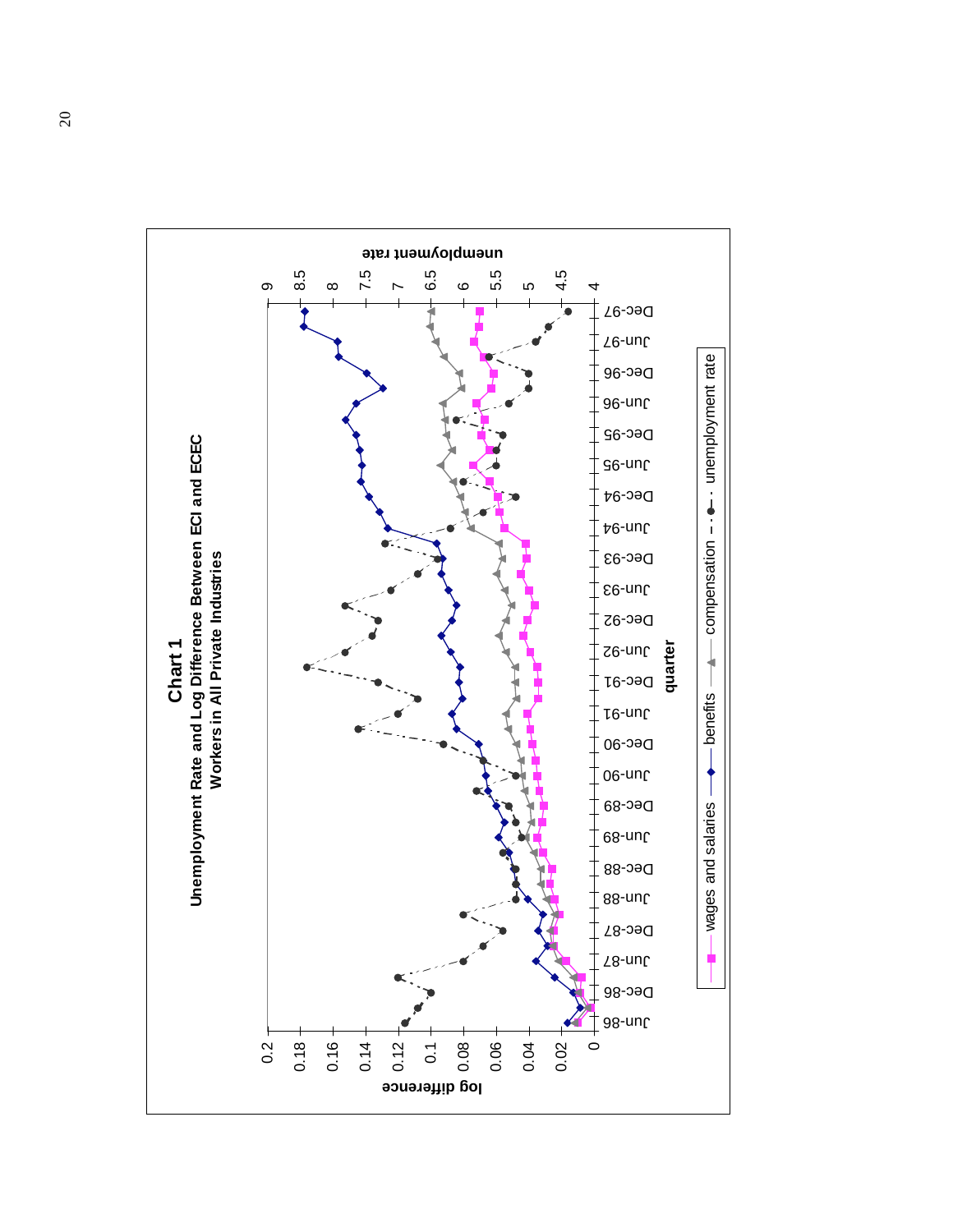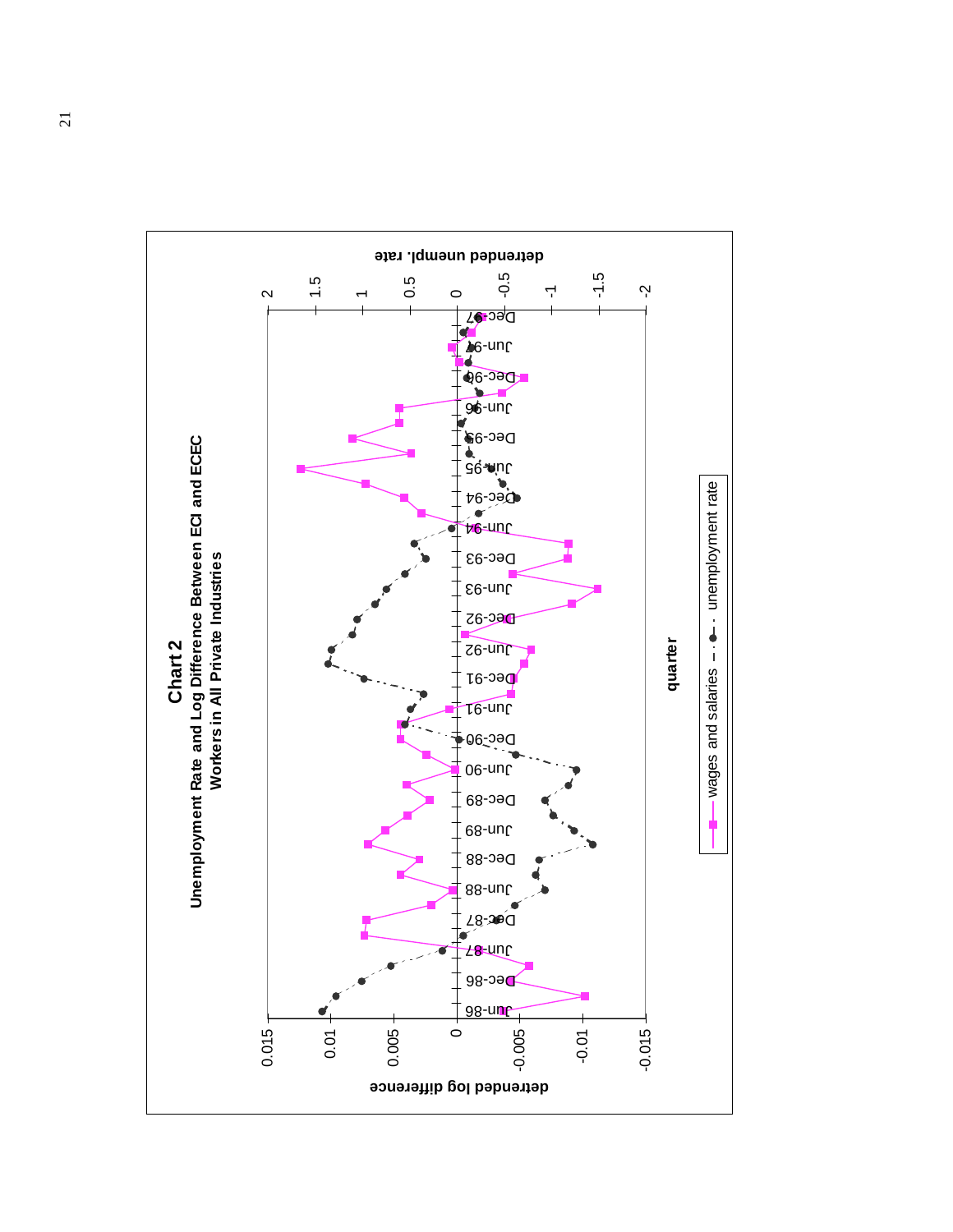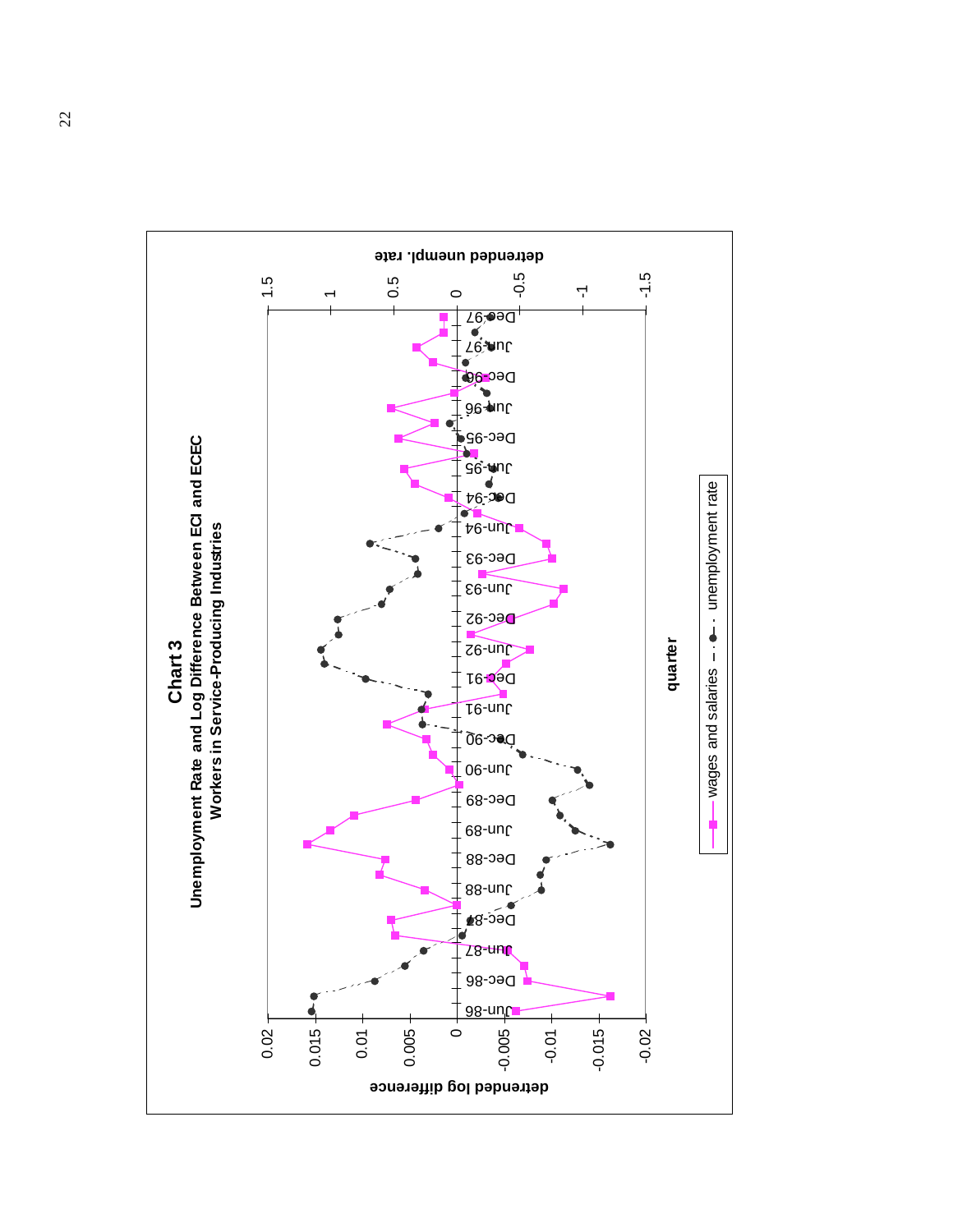